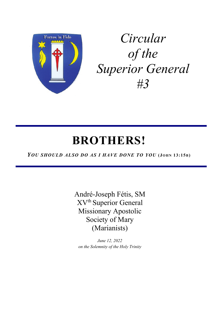

*Circular of the Superior General #3*

# **BROTHERS!**

*YOU SHOULD ALSO DO AS I HAVE DONE TO YOU* **(JOHN 13:15B)**

André-Joseph Fétis, SM XVth Superior General Missionary Apostolic Society of Mary (Marianists)

*June 12, 2022 on the Solemnity of the Holy Trinity*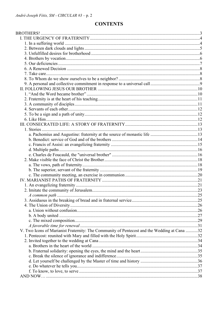# **CONTENTS**

| V. Two Icons of Marianist Fraternity: The Community of Pentecost and the Wedding at Cana 32 |  |
|---------------------------------------------------------------------------------------------|--|
|                                                                                             |  |
|                                                                                             |  |
|                                                                                             |  |
|                                                                                             |  |
|                                                                                             |  |
|                                                                                             |  |
|                                                                                             |  |
|                                                                                             |  |
|                                                                                             |  |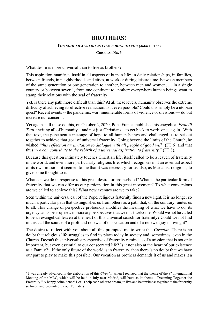# **BROTHERS!**

# *YOU SHOULD ALSO DO AS I HAVE DONE TO YOU* **(John 13:15b) CIRCULAR NO. 3**

<span id="page-2-0"></span>What desire is more universal than to live as brothers?

This aspiration manifests itself in all aspects of human life: in daily relationships, in families, between friends, in neighborhoods and cities, at work or during leisure time, between members of the same generation or one generation to another, between men and women, … in a single country or between several, from one continent to another: everywhere human beings want to stamp their relations with the seal of fraternity.

Yet, is there any path more difficult than this? At all these levels, humanity observes the extreme difficulty of achieving its effective realization. Is it even possible? Could this simply be a utopian quest? Recent events -- the pandemic, war, innumerable forms of violence or divisions — do but increase our concerns.

Yet against all these doubts, on October 2, 2020, Pope Francis published his encyclical *Fratelli Tutti*, inviting all of humanity – and not just Christians – to get back to work, once again. With that text, the pope sent a message of hope to all human beings and challenged us to set out together to achieve that goal of universal fraternity. Going beyond the limits of the Church, he wished "*this reflection an invitation to dialogue with all people of good will*" (FT 6) and that thus "*we can contribute to the rebirth of a universal aspiration to fraternity*." (FT 8).

Because this question intimately touches Christian life, itself called to be a leaven of fraternity in the world, and even more particularly religious life, which recognizes in it an essential aspect of its own mission, it seemed to me that it was necessary for us also, as Marianist religious, to give some thought to it.

What can we do in response to this great desire for brotherhood? What is the particular form of fraternity that we can offer as our participation in this great movement? To what conversions are we called to achieve this? What new avenues are we to take?

Seen within the universal call of the Pope, religious fraternity finds a new light. It is no longer so much a particular path that distinguishes us from others as a path that, on the contrary, unites us to all. This change of perspective profoundly modifies the meaning of what we have to do, its urgency, and opens up new missionary perspectives that we must welcome. Would we not be called to be an evangelical leaven at the heart of this universal search for fraternity? Could we not find in this call the source of a profound renewal of our vocation and of a renewed joy in living it?

The desire to reflect with you about all this prompted me to write this *Circular*. There is no doubt that religious life struggles to find its place today in society and, sometimes, even in the Church. Doesn't this universalist perspective of fraternity remind us of a mission that is not only important, but even essential to our consecrated life? Is it not also at the heart of our existence as a Family?<sup>[1](#page-2-1)</sup> If the only future of the world is in fraternity, then there is no doubt that we have our part to play to make this possible. Our vocation as brothers demands it of us and makes it a

<span id="page-2-1"></span><sup>&</sup>lt;sup>1</sup> I was already advanced in the elaboration of this *Circular* when I realized that the theme of the 8<sup>th</sup> International Meeting of the MLC, which will be held in July near Madrid, will have as its theme: "Dreaming Together the Fraternity." A happy coincidence! Let us help each other to dream, to live and bear witness together to the fraternity so loved and promoted by our Founders.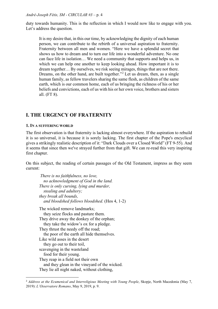duty towards humanity. This is the reflection in which I would now like to engage with you. Let's address the question.

It is my desire that, in this our time, by acknowledging the dignity of each human person, we can contribute to the rebirth of a universal aspiration to fraternity. Fraternity between all men and women. "Here we have a splendid secret that shows us how to dream and to turn our life into a wonderful adventure. No one can face life in isolation… We need a community that supports and helps us, in which we can help one another to keep looking ahead. How important it is to dream together… By ourselves, we risk seeing mirages, things that are not there. Dreams, on the other hand, are built together."<sup>[2](#page-3-2)</sup> Let us dream, then, as a single human family, as fellow travelers sharing the same flesh, as children of the same earth, which is our common home, each of us bringing the richness of his or her beliefs and convictions, each of us with his or her own voice, brothers and sisters all. (FT 8).

# <span id="page-3-0"></span>**I. THE URGENCY OF FRATERNITY**

# <span id="page-3-1"></span>**1. IN A SUFFERING WORLD**

The first observation is that fraternity is lacking almost everywhere. If the aspiration to rebuild it is so universal, it is because it is sorely lacking. The first chapter of the Pope's encyclical gives a strikingly realistic description of it: "Dark Clouds over a Closed World" (FT 9-55). And it seems that since then we've strayed further from that gift. We can re-read this very inspiring first chapter.

On this subject, the reading of certain passages of the Old Testament, impress as they seem current:

 *There is no faithfulness, no love, no acknowledgment of God in the land. There is only cursing, lying and murder, stealing and adultery; they break all bounds, and bloodshed follows bloodshed.* (Hos 4, 1-2) The wicked remove landmarks; they seize flocks and pasture them. They drive away the donkey of the orphan; they take the widow's ox for a pledge. They thrust the needy off the road; the poor of the earth all hide themselves. Like wild asses in the desert they go out to their toil, scavenging in the wasteland food for their young. They reap in a field not their own and they glean in the vineyard of the wicked. They lie all night naked, without clothing,

<span id="page-3-2"></span><sup>&</sup>lt;sup>2</sup> [Address at the Ecumenical and Interreligious Meeting with Young People](http://www.vatican.va/content/francesco/en/speeches/2019/may/documents/papa-francesco_20190507_macedoniadelnord-giovani.html), Skopje, North Macedonia (May 7, 2019): *L'Osservatore Romano*, May 9, 2019, p. 9.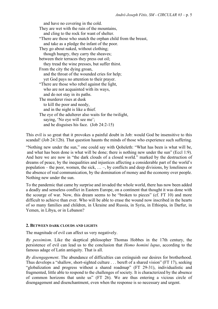and have no covering in the cold. They are wet with the rain of the mountains, and cling to the rock for want of shelter. "There are those who snatch the orphan child from the breast, and take as a pledge the infant of the poor. They go about naked, without clothing; though hungry, they carry the sheaves; between their terraces they press out oil; they tread the wine presses, but suffer thirst. From the city the dying groan, and the throat of the wounded cries for help; yet God pays no attention to their prayer. "There are those who rebel against the light, who are not acquainted with its ways, and do not stay in its paths. The murderer rises at dusk to kill the poor and needy, and in the night is like a thief. The eye of the adulterer also waits for the twilight, saying, 'No eye will see me'; and he disguises his face. (Job 24:2-15)

This evil is so great that it provokes a painful doubt in Job: would God be insensitive to this scandal! (Job 24:12b). That question haunts the minds of those who experience such suffering.

"Nothing new under the sun," one could say with Qoheleth: "What has been is what will be, and what has been done is what will be done; there is nothing new under the sun" (Eccl 1:9). And here we are now in "the dark clouds of a closed world." marked by the destruction of dreams of peace, by the inequalities and injustices affecting a considerable part of the world's population – the poor, women, the sick,  $\dots$  –, by conflicts and deep divisions, by loneliness or the absence of real communication, by the domination of money and the economy over people. Nothing new under the sun.

To the pandemic that came by surprise and invaded the whole world, there has now been added a deadly and senseless conflict in Eastern Europe, on a continent that thought it was done with the scourge of war. Now, this dream seems to be "broken to pieces" (cf. FT 10) and more difficult to achieve than ever. Who will be able to erase the wound now inscribed in the hearts of so many families and children, in Ukraine and Russia, in Syria, in Ethiopia, in Darfur, in Yemen, in Libya, or in Lebanon?

#### <span id="page-4-0"></span>**2. BETWEEN DARK CLOUDS AND LIGHTS**

The magnitude of evil can affect us very negatively.

*By pessimism*. Like the skeptical philosopher Thomas Hobbes in the 17th century, the persistence of evil can lead us to the conclusion that *Homo homini lupus*, according to the famous adage of Latin antiquity. That is all.

*By disengagement*. The abundance of difficulties can extinguish our desires for brotherhood. Thus develops a "shallow, short-sighted culture . . . bereft of a shared vision" (FT 17), seeking "globalization and progress without a shared roadmap" (FT 29-31), individualistic and fragmented, little able to respond to the challenges of society. It is characterized by the absence of common horizons that unite us" (FT 26). We are thus entering a vicious circle of disengagement and disenchantment, even when the response is so necessary and urgent.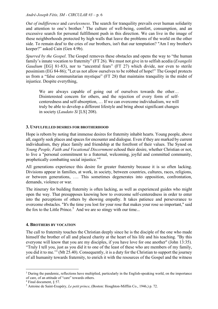*Out of indifference* and *carelessness*. The search for tranquility prevails over human solidarity and attention to one's brother.<sup>[3](#page-5-2)</sup> The culture of well-being, comfort, consumption, and an excessive search for personal fulfillment push in this direction. We can live in the image of these neighborhoods protected by high walls that leave the problems of the world on the other side. To remain deaf to the cries of our brothers, isn't that our temptation? "Am I my brother's keeper?" asked Cain (Gen 4:9b).

*Spurred by the Gospel*. The Gospel removes these obstacles and opens the way to "the human family's innate vocation to fraternity" (FT 26). We must not give in to selfish acedia (*Evangelii Gaudium* [EG] 81-83), nor to "ancestral fears" (FT 27) which divide, nor even to sterile pessimism (EG 84-86); "Let us not allow ourselves to be robbed of hope!" The Gospel protects us from a "false communitarian mystique" (FT 28) that maintains tranquility in the midst of injustice. Despite everything,

We are always capable of going out of ourselves towards the other... Disinterested concern for others, and the rejection of every form of selfcenteredness and self-absorption, … If we can overcome individualism, we will truly be able to develop a different lifestyle and bring about significant changes in society (*Laudato Sí* [LS] 208).

## <span id="page-5-0"></span>**3. UNFULFILLED DESIRES FOR BROTHERHOOD**

Hope is reborn by noting that immense desires for fraternity inhabit hearts. Young people, above all, eagerly seek places and spaces for encounter and dialogue. Even if they are marked by current individualism, they place family and friendship at the forefront of their values. The Synod on *Young People, Faith and Vocational Discernment* echoed their desire, whether Christian or not, to live a "personal commitment to a fraternal, welcoming, joyful and committed community, prophetically combatting social injustice."[4](#page-5-3)

All generations experience this desire for greater fraternity because it is so often lacking. Divisions appear in families, at work, in society, between countries, cultures, races, religions, or between generations, …. This sometimes degenerates into opposition, confrontation, demands, violence or war.

The itinerary for building fraternity is often lacking, as well as experienced guides who might open the way. That presupposes knowing how to overcome self-centeredness in order to enter into the perceptions of others by showing empathy. It takes patience and perseverance to overcome obstacles. "It's the time you lost for your rose that makes your rose so important," said the fox to the Little Prince.<sup>[5](#page-5-4)</sup> And we are so stingy with our time...

#### <span id="page-5-1"></span>**4. BROTHERS BY VOCATION**

The call to fraternity touches the Christian deeply since he is the disciple of the one who made himself the brother of all and placed charity at the heart of his life and his teaching. "By this everyone will know that you are my disciples, if you have love for one another" (John 13:35). "Truly I tell you, just as you did it to one of the least of these who are members of my family, you did it to me.'" (Mt 25.40). Consequently, it is a duty for the Christian to support the journey of all humanity towards fraternity, to enrich it with the resources of the Gospel and the witness

<span id="page-5-2"></span><sup>&</sup>lt;sup>3</sup> During the pandemic, reflections have multiplied, particularly in the English-speaking world, on the importance of care, of an attitude of "care" towards others.

<span id="page-5-3"></span> $4$  Final document,  $8\,57$ .

<span id="page-5-4"></span><sup>5</sup> Antoine de Saint-Exupéry, *Le petit prince*, (Boston: Houghton-Mifflin Co., 1946,) p. 72.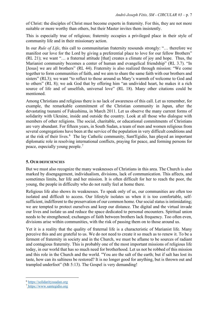of Christ: the disciples of Christ must become experts in fraternity. For this, they are not more suitable or more worthy than others, but their Master invites them insistently.

This is especially true of religious; fraternity occupies a privileged place in their style of community life and in their missionary action.

In our *Rule of Life*, this call to communitarian fraternity resounds strongly: "… therefore we manifest our love for the Lord by giving a preferential place to love for our fellow Brothers" (RL 21); we want "… a fraternal attitude [that] creates a climate of joy and hope. Thus, the Marianist community becomes a center of human and evangelical friendship" (RL 3.7). "In [Jesus] we are all brothers" (RL 44). Fraternity is also realized through mission: "We come together to form communities of faith, and we aim to share the same faith with our brothers and sisters" (RL3); we want "to reflect to those around us Mary's warmth of welcome to God and to others" (RL 8); we ask God that by offering him "an undivided heart, he makes it a rich source of life and of unselfish, universal love" (RL 18). Many other citations could be mentioned.

Among Christians and religious there is no lack of awareness of this call. Let us remember, for example, the remarkable commitment of the Christian community in Japan, after the devastating tsunami of Fukushima, in March 2011. Let us observe the many current forms of solidarity with Ukraine, inside and outside the country. Look at all those who dialogue with members of other religions. The social, charitable, or educational commitments of Christians are very abundant. For fifteen years, in South Sudan, a team of men and women religious from several congregations have been at the service of the population in very difficult conditions and at the risk of their lives.<sup>[6](#page-6-1)</sup> The lay Catholic community, Sant'Egidio, has played an important diplomatic role in resolving international conflicts, praying for peace, and forming persons for peace, especially young people.<sup>[7](#page-6-2)</sup>

# <span id="page-6-0"></span>**5. OUR DEFICIENCIES**

But we must also recognize the many weaknesses of Christians in this area. The Church is also marked by disengagement, individualism, divisions, lack of communication. This affects, and sometimes limits, her life and her mission. It is often difficult for her to reach the poor, the young, the people in difficulty who do not really feel at home there.

Religious life also shows its weaknesses. To speak only of us, our communities are often too isolated and difficult to access. Our lifestyle isolates us when it is too comfortable, selfsufficient, indifferent to the preservation of our common home. Our social status is intimidating; we are tempted to protect ourselves and keep our distance. The digital and the virtual invade our lives and isolate us and reduce the space dedicated to personal encounters. Spiritual union needs to be strengthened; exchanges of faith between brothers lack frequency. Too often even, divisions arise within communities, with the risk of passing them on to those around us.

Yet it is a reality that the quality of fraternal life is a characteristic of Marianist life. Many perceive this and are grateful to us. We do not need to create it so much as to renew it. To be a ferment of fraternity in society and in the Church, we must be aflame to be sources of radiant and contagious fraternity. This is probably one of the most important missions of religious life today, in our world that has so much need for brotherhood. Let us not be robbed of this mission and this role in the Church and the world. "You are the salt of the earth; but if salt has lost its taste, how can its saltiness be restored? It is no longer good for anything, but is thrown out and trampled underfoot" (Mt 5:13). The Gospel is very demanding!

<span id="page-6-1"></span><sup>6</sup> [https://solidarityssudan.org](https://solidarityssudan.org/) 7 [https://www.santegidio.org](https://www.santegidio.org/) 

<span id="page-6-2"></span>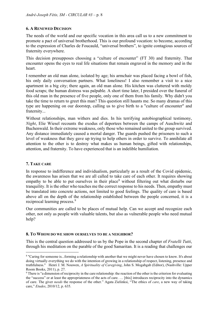# <span id="page-7-0"></span>**6. A RENEWED DECISION**

The needs of the world and our specific vocation in this area call us to a new commitment to promote a pact of universal brotherhood. This is our profound vocation: to become, according to the expression of Charles de Foucauld, "universal brothers", to ignite contagious sources of fraternity everywhere.

This decision presupposes choosing a "culture of encounter" (FT 30) and fraternity. That encounter opens the eyes to real life situations that remain engraved in the memory and in the heart.

I remember an old man alone, isolated by age; his armchair was placed facing a bowl of fish, his only daily conversation partners. What loneliness! I also remember a visit to a nice apartment in a big city; there again, an old man alone. His kitchen was cluttered with moldy food scraps; the human distress was palpable. A short time later, I presided over the funeral of this old man in the presence of five people, only one of them from his family. Why didn't you take the time to return to greet this man? This question still haunts me. So many dramas of this type are happening on our doorstep, calling us to give birth to a "culture of encounter" and fraternity...

Without relationships, man withers and dies. In his terrifying autobiographical testimony, *Night*, Elie Wiesel recounts the exodus of deportees between the camps of Auschwitz and Buchenwald. In their extreme weakness, only those who remained united to the group survived. Any distance immediately caused a mortal danger. The guards pushed the prisoners to such a level of weakness that they gave up trying to help others in order to survive. To annihilate all attention to the other is to destroy what makes us human beings, gifted with relationships, attention, and fraternity. To have experienced that is an indelible humiliation.

#### <span id="page-7-1"></span>**7. TAKE CARE**

In response to indifference and individualism, particularly as a result of the Covid epidemic, the awareness has arisen that we are all called to take care of each other. It requires showing empathy to be able to put ourselves in their place<sup>[8](#page-7-3)</sup> without filtering out what disturbs our tranquility. It is the other who teaches me the correct response to his needs. Then, empathy must be translated into concrete actions, not limited to good feelings. The quality of care is based above all on the depth of the relationship established between the people concerned, it is a reciprocal learning process.<sup>[9](#page-7-4)</sup>

Our communities are called to be places of mutual help. Can we accept and recognize each other, not only as people with valuable talents, but also as vulnerable people who need mutual help?

#### <span id="page-7-2"></span>**8. TO WHOM DO WE SHOW OURSELVES TO BE A NEIGHBOR?**

This is the central question addressed to us by the Pope in the second chapter of *Fratelli Tutti*, through his meditation on the parable of the good Samaritan. It is a reading that challenges our

<span id="page-7-3"></span><sup>8</sup> "Caring for someone is...forming a relationship with another that we might never have chosen to know. It's about doing virtually everything we do with the intention of growing in a relationship of respect, listening, presence and truthfulness." Henri J. M. Nouwen, *A Spirituality of Caregiving*, John S. Mogabgab (Editor), (Nashville: Upper Room Books, 2011), p. 27.

<span id="page-7-4"></span><sup>9</sup> There is "a dimension of reciprocity in the care relationship: the reaction of the other is the criterion for evaluating the "success" or at least the appropriateness of the acts of care. … [this] introduces reciprocity into the dynamics of care. The giver *needs* the response of the other." Agata Zielinksi, "The ethics of *care*, a new way of taking care," *Etudes*, 2010/12, p. 635.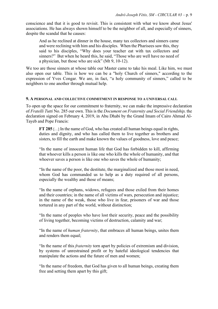conscience and that it is good to revisit. This is consistent with what we know about Jesus' associations. He has always shown himself to be the neighbor of all, and especially of sinners, despite the scandal that he causes:

And as he reclined at dinner in the house, many tax collectors and sinners came and were reclining with him and his disciples. When the Pharisees saw this, they said to his disciples, "Why does your teacher eat with tax collectors and sinners?" But when he heard this, he said, "Those who are well have no need of a physician, but those who are sick" (Mt 9, 10-12).

We too are those sinners at whose table our Master came to take his meal. Like him, we must also open our table. This is how we can be a "holy Church of sinners," according to the expression of Yves Congar. We are, in fact, "a holy community of sinners," called to be neighbors to one another through mutual help.

#### <span id="page-8-0"></span>**9. A PERSONAL AND COLLECTIVE COMMITMENT IN RESPONSE TO A UNIVERSAL CALL**

To open up the space for our commitment to fraternity, we can make the impressive declaration of *Fratelli Tutti* No. 285 our own. This is the *Document on Fraternity and Social Friendship,* the declaration signed on February 4, 2019, in Abu Dhabi by the Grand Imam of Cairo Ahmad Al-Tayeb and Pope Francis:

**FT 285** […] In the name of God, who has created all human beings equal in rights, duties and dignity, and who has called them to live together as brothers and sisters, to fill the earth and make known the values of goodness, love and peace;

"In the name of innocent human life that God has forbidden to kill, affirming that whoever kills a person is like one who kills the whole of humanity, and that whoever saves a person is like one who saves the whole of humanity;

"In the name of the poor, the destitute, the marginalized and those most in need, whom God has commanded us to help as a duty required of all persons, especially the wealthy and those of means;

"In the name of orphans, widows, refugees and those exiled from their homes and their countries; in the name of all victims of wars, persecution and injustice; in the name of the weak, those who live in fear, prisoners of war and those tortured in any part of the world, without distinction;

"In the name of peoples who have lost their security, peace and the possibility of living together, becoming victims of destruction, calamity and war;

"In the name of *human fraternity*, that embraces all human beings, unites them and renders them equal;

"In the name of this *fraternity* torn apart by policies of extremism and division, by systems of unrestrained profit or by hateful ideological tendencies that manipulate the actions and the future of men and women;

"In the name of freedom, that God has given to all human beings, creating them free and setting them apart by this gift;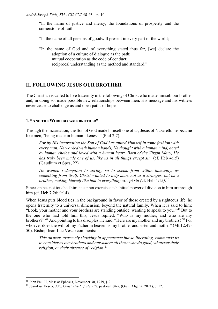"In the name of justice and mercy, the foundations of prosperity and the cornerstone of faith;

"In the name of all persons of goodwill present in every part of the world;

"In the name of God and of everything stated thus far, [we] declare the adoption of a culture of dialogue as the path; mutual cooperation as the code of conduct; reciprocal understanding as the method and standard."

# <span id="page-9-0"></span>**II. FOLLOWING JESUS OUR BROTHER**

The Christian is called to live fraternity in the following of Christ who made himself our brother and, in doing so, made possible new relationships between men. His message and his witness never cease to challenge us and open paths of hope.

## <span id="page-9-1"></span>**1. "AND THE WORD BECAME BROTHER"**

Through the incarnation, the Son of God made himself one of us, Jesus of Nazareth: he became like men, "being made in human likeness." (Phil 2:7).

*For by His incarnation the Son of God has united Himself in some fashion with every man. He worked with human hands, He thought with a human mind, acted by human choice and loved with a human heart. Born of the Virgin Mary, He has truly been made one of us, like us in all things except sin.* (cf. Heb 4:15) (Gaudium et Spes, 22).

*He wanted redemption to spring, so to speak, from within humanity, as something from itself. Christ wanted to help man, not as a stranger, but as a brother, making himself like him in everything except sin (*cf. Heb 4:15*)*. [10](#page-9-2)

Since sin has not touched him, it cannot exercise its habitual power of division in him or through him (cf. Heb 7:26; 9:14).

When Jesus puts blood ties in the background in favor of those created by a righteous life, he opens fraternity to a universal dimension, beyond the natural family. When it is said to him: "Look, your mother and your brothers are standing outside, wanting to speak to you." **<sup>48</sup>** But to the one who had told him this, Jesus replied, "Who is my mother, and who are my brothers?" **<sup>49</sup>** And pointing to his disciples, he said, "Here are my mother and my brothers! **<sup>50</sup>** For whoever does the will of my Father in heaven is my brother and sister and mother" (Mt 12:47- 50). Bishop Jean-Luc Vesco comments:

*This answer, extremely shocking in appearance but so liberating, commands us to consider as our brothers and our sisters all those who do good, whatever their religion, or their absence of religion*. [11](#page-9-3)

<span id="page-9-2"></span><sup>10</sup> John Paul II, Mass at Ephesus, November 30, 1979, § 2.

<span id="page-9-3"></span><sup>11</sup> Jean-Luc Vesco, O.P., *Construire la fraternité*, pastoral letter, (Oran, Algeria: 2021), p. 12.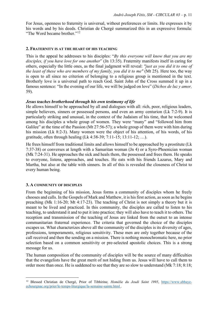For Jesus, openness to fraternity is universal, without preferences or limits. He expresses it by his words and by his deeds. Christian de Chergé summarized this in an expressive formula: "The Word became brother."<sup>[12](#page-10-2)</sup>

#### <span id="page-10-0"></span>**2. FRATERNITY IS AT THE HEART OF HIS TEACHING**

This is the appeal he addresses to his disciples: "*By this everyone will know that you are my disciples, if you have love for one another*" (Jn 13:35). Fraternity manifests itself in caring for others, especially the little ones, as the final judgment will reveal: *"just as you did it to one of the least of these who are members of my family, you did it to me"* (Mt 25). Here too, the way is open to all since no criterion of belonging to a religious group is mentioned in the text. Brotherly love is a universal path to reach God. Saint John of the Cross summed it up in a famous sentence: "In the evening of our life, we will be judged on love" (*Dichos de luz y amor,*  59).

#### *Jesus teaches brotherhood through his own testimony of life*

He allows himself to be approached by all and dialogues with all: rich, poor, religious leaders, simple believers, sinners or possessed persons, and even an army centurion (Lk 7:2-9). It is particularly striking and unusual, in the context of the Judaism of his time, that he welcomed among his disciples a whole group of women. They were "many" and "followed him from Galilee" at the time of the Passion (Mt 27:56-57); a whole group of them were with him during his mission (Lk 8:2-3). Many women were the object of his attention, of his words, of his gratitude, often through healing (Lk 4:38-39; 7:11-15; 13:11-12; …).

He frees himself from traditional limits and allows himself to be approached by a prostitute (Lk 7:37-38) or converses at length with a Samaritan woman (Jn 4) or a Syro-Phoenician woman (Mk 7:24-31). He approaches the sick and heals them, the possessed and frees them. He speaks to everyone, listens, approaches, and touches. He eats with his friends Lazarus, Mary and Martha, but also at the table with sinners. In all of this is revealed the closeness of Christ to every human being.

#### <span id="page-10-1"></span>**3. A COMMUNITY OF DISCIPLES**

From the beginning of his mission, Jesus forms a community of disciples whom he freely chooses and calls. In the Gospels of Mark and Matthew, it is his first action, as soon as he begins preaching (Mk 1:16-20; Mt 4:17-23). The teaching of Christ is not simply a theory but it is meant to be lived and practiced. In this community, the disciples are called to listen to his teaching, to understand it and to put it into practice; they will also have to teach it to others. The reception and transmission of the teaching of Jesus are linked from the outset to an intense communitarian fraternal experience. The criteria that governed the choice of the disciples escapes us. What characterizes above all the community of the disciples is its diversity of ages, professions, temperaments, religious sensitivity. These men are only together because of the call received and then the sending on a mission. There is nothing monochromatic here, no prior selection based on a common sensitivity or pre-selected apostolic choices. This is a strong message for us.

The human composition of the community of disciples will be the source of many difficulties that the evangelists have the great merit of not hiding from us. Jesus will have to call them to order more than once. He is saddened to see that they are so slow to understand (Mk 7:18; 8:18;

<span id="page-10-2"></span><sup>12</sup> Blessed Christian de Chergé, Prior of Tibhirine*, Homélie du Jeudi Saint 1995*, [https://www.abbaye](https://www.abbaye-echourgnac.org/prier/le-temps-liturgique/la-semaine-sainte.html)[echourgnac.org/prier/le-temps-liturgique/la-semaine-sainte.html .](https://www.abbaye-echourgnac.org/prier/le-temps-liturgique/la-semaine-sainte.html)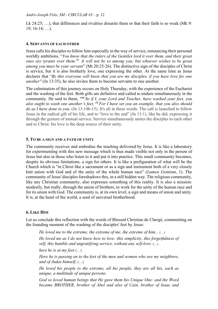Lk 24:25; …), that differences and rivalries disunite them or that their faith is so weak (Mk 9: 19; 16:14; …).

#### <span id="page-11-0"></span>**4. SERVANTS OF EACH OTHER**

Jesus calls his disciples to follow him especially in the way of service, renouncing their personal worldly ambitions. "*You know that the rulers of the Gentiles lord it over them, and their great ones are tyrants over them.26 It will not be so among you; but whoever wishes to be great among you must be your servant*" (Mt 20:25-26). The distinctive sign of the disciples of Christ is service, but it is also brotherly love, one expressing the other. At the same time as Jesus declares that "*By this everyone will know that you are my disciples, if you have love for one another"* (Jn 13:35), he also invites them to become servants to one another.

The culmination of this journey occurs on Holy Thursday, with the experience of the Eucharist and the washing of the feet. Both gifts are definitive and called to endure simultaneously in the community. He said to them, *"<sup>14</sup> So if I, your Lord and Teacher, have washed your feet, you also ought to wash one another's feet. <sup>15</sup> For I have set you an example, that you also should do as I have done to you.* (Jn 13:14b-15). It's all in these words. The call is launched to follow Jesus in the radical gift of his life, and to "love to the end" (Jn 13:1), like he did, expressing it through the gesture of mutual service. Service simultaneously unites the disciples to each other and to Christ: his love is the deep source of their unity.

#### <span id="page-11-1"></span>**5. TO BE A SIGN AND A PATH OF UNITY**

The community receives and embodies the teaching delivered by Jesus. It is like a laboratory for experimenting with this new message which is thus made visible not only in the person of Jesus but also in those who listen to it and put it into practice. This small community becomes, despite its obvious limitations, a sign for others. It is like a prefiguration of what will be the Church which is "in Christ like a sacrament or as a sign and instrument both of a very closely knit union with God and of the unity of the whole human race" (*Lumen Gentium*, 1). The community of Jesus' disciples foreshadows this, in a still hidden way. The religious community, like any Christian community, also expresses something of this reality. It is also a mission: modestly, but really, through the union of brothers, to work for the unity of the human race and for its union with God. The community is, at its own level, a sign and means of union and unity. It is, at the heart of the world, a seed of universal brotherhood.

#### <span id="page-11-2"></span>**6. LIKE HIM**

Let us conclude this reflection with the words of Blessed Christian de Chergé, commenting on the founding moment of the washing of the disciples' feet by Jesus:

*He loved me to the extreme, the extreme of me, the extreme of him...* (…)

*He loved me as I do not know how to love: this simplicity, this forgetfulness of self, this humble and ungratifying service, without any self-love.* (…)

*here he is at my feet* (…)

*Here he is passing on to the feet of the men and women who are my neighbors, and of Judas himself,* (…)

*He loved his people to the extreme, all his people, they are all his, each as unique, a multitude of unique persons.* 

*God so loved human beings that He gave them his Unique One: and the Word became BROTHER, brother of Abel and also of Cain, brother of Isaac and*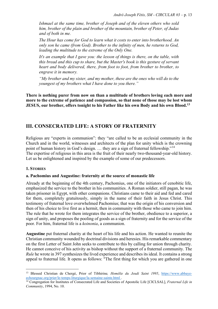*Ishmael at the same time, brother of Joseph and of the eleven others who sold him, brother of the plain and brother of the mountain, brother of Peter, of Judas and of both in me.* 

*The Hour has come for God to learn what it costs to enter into brotherhood. An only son he came (from God). Brother to the infinity of men, he returns to God, leading the multitude to the extreme of the Only One.* 

*It's an example that I gave you: the lesson of things is there, on the table, with this bread and this cup to share, but the Master's book is this gesture of servant heart and body delivered, there, from foot to foot, from brother to brother, to engrave it in memory.*

*"My brother and my sister, and my mother, these are the ones who will do to the youngest of my brothers what I have done to you there."* 

**There is nothing purer from now on than a multitude of brothers loving each more and more to the extreme of patience and compassion, so that none of those may be lost whom JESUS, our brother, offers tonight to his Father like his own Body and his own Blood.[13](#page-12-3)**

# <span id="page-12-0"></span>**III. CONSECRATED LIFE: A STORY OF FRATERNITY**

Religious are "experts in communion": they "are called to be an ecclesial community in the Church and in the world, witnesses and architects of the plan for unity which is the crowning point of human history in God's design. … they are a sign of fraternal fellowship."[14](#page-12-4) The expertise of religious in this area is the fruit of their nearly two-thousand-year-old history. Let us be enlightened and inspired by the example of some of our predecessors.

# <span id="page-12-1"></span>**1. STORIES**

# <span id="page-12-2"></span>**a. Pachomius and Augustine: fraternity at the source of monastic life**

Already at the beginning of the 4th century, Pachomius, one of the initiators of cenobitic life, emphasized the service to the brother in his communities. A Roman soldier, still pagan, he was taken prisoner in Egypt, with other companions. Christians came to their aid and fed and cared for them, completely gratuitously, simply in the name of their faith in Jesus Christ. This testimony of fraternal love overwhelmed Pachomius; that was the origin of his conversion and then of his choice to live first as a hermit, then in community with those who came to join him. The rule that he wrote for them integrates the service of the brother, obedience to a superior, a sign of unity, and proposes the pooling of goods as a sign of fraternity and for the service of the poor. For him, fraternal life is a *koinonia*, a communion.

**Augustine** put fraternal charity at the heart of his life and his action. He wanted to reunite the Christian community wounded by doctrinal divisions and heresies. His remarkable commentary on the first Letter of Saint John seeks to contribute to this by calling for union through charity. He cannot conceive of his activity as bishop without the support of a fraternal community. The *Rule* he wrote in 397 synthesizes the lived experience and describes its ideal. It contains a strong appeal to fraternal life. It opens as follows: "The first thing for which you are gathered in one

<span id="page-12-3"></span><sup>&</sup>lt;sup>13</sup> Blessed Christian de Chergé, Prior of Tibhirine, *Homélie du Jeudi Saint 1995*, https://www.abbaye-echourgnac.org/prier/le-temps-liturgique/la-semaine-sainte.html.

<span id="page-12-4"></span><sup>&</sup>lt;sup>14</sup> Congregation for Institutes of Consecrated Life and Societies of Apostolic Life [CICLSAL], *Fraternal Life in Community*, 1994, No. 10.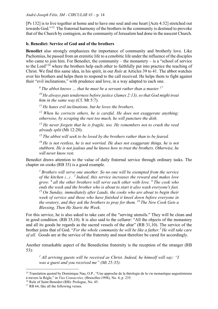[Ps 132] is to live together at home and to have one soul and one heart [Acts 4:32] stretched out towards God."[15](#page-13-1) The fraternal harmony of the brothers in the community is destined to provoke that of the Church by contagion, as the community of Jerusalem had done in the nascent Church.

## <span id="page-13-0"></span>**b. Benedict: Service of God and of the brothers**

**Benedict** also strongly emphasizes the importance of community and brotherly love. Like Pachomius, he passed from an eremitic life to a cenobitic life under the influence of the disciples who came to join him. For Benedict, the community – the monastery – is a "school of service" to the Lord<sup> $16$ </sup> where the brothers help each other to faithfully put into practice the teaching of Christ. We find this same idea, in his spirit, in our *Rule* at Articles 39 to 41. The abbot watches over his brothers and helps them to respond to the call received. He helps them to fight against their "evil inclinations," with prudence and love, in a way adapted to each one.

*8 The abbot knows … that he must be a servant rather than a master. [17](#page-13-3)*

*10 He always puts tenderness before justice (James 2:13), so that God might treat him in the same way* (Cf. Mt 5:7).

*11 He hates evil inclinations, but he loves the brothers.*

*12 When he corrects others, he is careful. He does not exaggerate anything; otherwise, by scraping the rust too much, he will puncture the dish.*

*13 He never forgets that he is fragile, too. He remembers not to crush the reed already split* (Mt 12:20).

*15 The abbot will seek to be loved by the brothers rather than to be feared.*

*16 He is not restless, he is not worried. He does not exaggerate things, he is not stubborn. He is not jealous and he knows how to trust the brothers. Otherwise, he will never know rest*.

Benedict draws attention to the value of daily fraternal service through ordinary tasks. The chapter on cooks (RB 35) is a good example.

*1 Brothers will serve one another. So no one will be exempted from the service of the kitchen (…) . 2 Indeed, this service increases the reward and makes love grow. 6 all the other brothers will serve each other with love. 9 The cook who ends the week and the brother who is about to start it also wash everyone's feet. 15 On Sunday, immediately after Lauds, the cooks who are about to begin their week of service and those who have finished it kneel down before everyone in the oratory, and they ask the brothers to pray for them. 18 The New Cook Gets a Blessing, Then He Starts the Week*.

For this service, he is also asked to take care of the "serving utensils." They will be clean and in good condition. (RB 35,10). It is also said to the cellarer: "All the objects of the monastery and all its goods he regards as the sacred vessels of the altar" (RB 31,10). The service of the brother joins that of God. "*For the whole community he will be like a father. 3 He will take care of all.* Goods are at the service of the fraternity and must therefore be cared for accordingly.

Another remarkable aspect of the Benedictine fraternity is the reception of the stranger (RB 53):

<sup>1</sup> All arriving guests will be received as Christ. Indeed, he himself will say: "I *was a guest and you received me" (Mt 25:35).*

<span id="page-13-1"></span><sup>&</sup>lt;sup>15</sup> Translation quoted by Dominique Nau, O.P., "Une approche de la théologie de la vie monastique augustinienne à travers la Règle," in *Vies Consacrées,* (Bruxelles:1998), No. 4, p. 235.

<span id="page-13-2"></span><sup>&</sup>lt;sup>16</sup> Rule of Saint Benedict (RB): Prologue, No. 45.

<span id="page-13-3"></span><sup>&</sup>lt;sup>17</sup> RB 64, like all the following verses.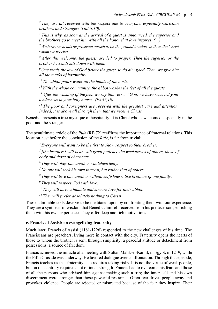*2 They are all received with the respect due to everyone, especially Christian brothers and strangers (Gal 6:10).*

*3 This is why, as soon as the arrival of a guest is announced, the superior and the brothers go to meet him with all the honor that love inspires. (…)*

*7 We bow our heads or prostrate ourselves on the ground to adore in them the Christ whom we receive.*

*8 After this welcome, the guests are led to prayer. Then the superior or the brother he sends sits down with them.*

*9 One reads the law of God before the guest, to do him good. Then, we give him all the marks of hospitality.*

*12 The abbot pours water on the hands of the hosts.*

*13 With the whole community, the abbot washes the feet of all the guests.*

*14 After the washing of the feet, we say this verse: "God, we have received your tenderness in your holy house" (Ps 47,10).*

*15 The poor and foreigners are received with the greatest care and attention. Indeed, it is above all through them that we receive Christ*.

Benedict presents a true mystique of hospitality. It is Christ who is welcomed, especially in the poor and the stranger.

The penultimate article of the *Rule* (RB 72) reaffirms the importance of fraternal relations. This location, just before the conclusion of the *Rule*, is far from trivial:

*4 Everyone will want to be the first to show respect to their brother.*

*5 [the brothers] will bear with great patience the weaknesses of others, those of body and those of character.*

*6 They will obey one another wholeheartedly.*

*7 No one will seek his own interest, but rather that of others.*

*8 They will love one another without selfishness, like brothers of one family.*

*9 They will respect God with love.*

*10 They will have a humble and sincere love for their abbot.*

*11 They will prefer absolutely nothing to Christ*.

These admirable texts deserve to be meditated upon by confronting them with our experience. They are a synthesis of wisdom that Benedict himself received from his predecessors, enriching them with his own experience. They offer deep and rich motivations.

#### <span id="page-14-0"></span>**c. Francis of Assisi: an evangelizing fraternity**

Much later, Francis of Assisi (1181-1226) responded to the new challenges of his time. The Franciscans are preachers, living more in contact with the city. Fraternity opens the hearts of those to whom the brother is sent, through simplicity, a peaceful attitude or detachment from possessions, a source of freedom.

Francis achieved the miracle of a meeting with Sultan Malik-el-Kamil, in Egypt, in 1219, while the Fifth Crusade was underway. He favored dialogue over confrontation. Through that episode, Francis teaches us that fraternity also requires taking risks. It is not the virtue of weak people, but on the contrary requires a lot of inner strength. Francis had to overcome his fears and those of all the persons who advised him against making such a trip; the inner call and his own discernment were stronger than those powerful restraints. Often fear drives people away and provokes violence. People are rejected or mistreated because of the fear they inspire. Their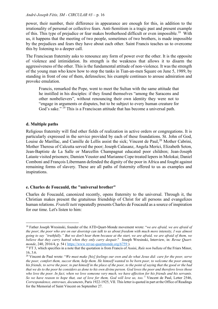power, their number, their difference in appearance are enough for this, in addition to the irrationality of personal or collective fears. Anti-Semitism is a tragic past and present example of this. This type of prejudice or fear makes brotherhood difficult or even impossible.<sup>18</sup> With us, it happens that the meeting of two people, sometimes of two brothers, is made impossible by the prejudices and fears they have about each other. Saint Francis teaches us to overcome this by listening to a deeper call.

The Franciscan fraternity asks to renounce any form of power over the other. It is the opposite of violence and intimidation. Its strength is the weakness that allows it to disarm the aggressiveness of the other. This is the fundamental attitude of non-violence. It was the strength of the young man who knew how to stop the tanks in Tian-an-men Square on June 5, 1989, by standing in front of one of them, defenseless; his example continues to arouse admiration and provoke emulation.

Francis, remarked the Pope, went to meet the Sultan with the same attitude that he instilled in his disciples: if they found themselves "among the Saracens and other nonbelievers", without renouncing their own identity they were not to "engage in arguments or disputes, but to be subject to every human creature for God's sake." <sup>[19](#page-15-3)</sup> This is a Franciscan attitude that has become a universal path.

# <span id="page-15-0"></span>**d. Multiple paths**

Religious fraternity will find other fields of realization in active orders or congregations. It is particularly expressed in the service provided by each of these foundations. St. John of God, Louise de Marillac, and Camille de Lellis assist the sick; Vincent de Paul,<sup>20</sup> Mother Cabrini, Mother Theresa of Calcutta served the poor; Joseph Calasanz, Angela Merici, Elizabeth Seton, Jean-Baptiste de La Salle or Marcellin Champagnat educated poor children; Jean-Joseph Lataste visited prisoners; Damien Veuster and Marianne Cope treated lepers in Molokai; Daniel Comboni and François Libermann defended the dignity of the poor in Africa and fought against remaining forms of slavery. These are all paths of fraternity offered to us as examples and inspirations.

#### <span id="page-15-1"></span>**e. Charles de Foucauld, the "universal brother"**

Charles de Foucauld, canonized recently, opens fraternity to the universal. Through it, the Christian makes present the gratuitous friendship of Christ for all persons and evangelizes human relations. *Fratelli tutti* repeatedly presents Charles de Foucauld as a source of inspiration for our time. Let's listen to him:

<span id="page-15-2"></span><sup>18</sup> Father Joseph Wresinski, founder of the ATD-Quart-Monde movement wrote: "*we are afraid, we are afraid of the poor*; *the poor who are on our doorstep can talk to us about freedom with much more intensity, I was almost going to say "truthfully." But we don't hear them because at the start, we are afraid, we are afraid of them, we believe that they carry hatred when they only carry despair.*" Joseph Wresinski, Interview, in: *Revue Quartmonde*, 240, 2016/4, p. 54 [\( https://www.revue-quartmonde.org/6759 \)](https://www.revue-quartmonde.org/6759).<br><sup>19</sup> FT 3, which specifies in a note that the quotation is from Francis of Assisi, *Rule non bullata* of the Friars Minor,

<span id="page-15-3"></span><sup>16, 3.6.</sup>

<span id="page-15-4"></span><sup>20</sup> Vincent de Paul wrote: "*We must make [his] feelings our own and do what Jesus did: care for the poor, serve the poor, comfort them, succor them, help them. He himself wanted to be born poor, to welcome the poor among his friends, to serve the poor, to put himself in the place of the poor, to the point of saying that the good or the bad that we do to the poor he considers as done to his own divine person. God loves the poor and therefore loves those who love the poor. In fact, when we love someone very much, we have affection for his friends and his servants. So we have reason to hope that, out of love for them, God will love us, too."* Vincent de Paul, Letter 2546, *Correspondence, entrevues, documents*, Paris 1922-1925, VII. This letter is quoted in part at the Office of Readings for the Memorial of Saint Vincent on September 27.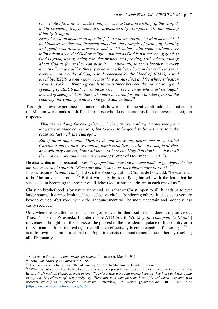*Our whole life, however mute it may be, ... must be a preaching of the Gospel, not by preaching it by mouth but by preaching it by example, not by announcing it but by living it.*

*Every Christian must be an apostle: [...] - To be an apostle, by what means? […] by kindness, tenderness, fraternal affection, the example of virtue, by humility and gentleness always attractive and so Christian; with some without ever telling them a word of God or religion, patient as God is patient, being good as God is good, loving, being a tender brother and praying; with others, talking about God as far as they can bear it. . . Above all, to see a brother in every human - "you are all brothers, you have one father who is in heaven" - to see in every human a child of God, a soul redeemed by the blood of JESUS, a soul loved by JESUS, a soul whom we must love as ourselves and for whose salvation we must work. . . What a great distance is there between the way of doing and speaking of JESUS and . . . of those who . . . see enemies who must be fought, instead of seeing sick brothers who must be cared for, the wounded lying on the roadway, for whom you have to be good Samaritans*. [21](#page-16-0)

Through his own experience, he understands how much the negative attitude of Christians in the Muslim world makes it difficult for those who do not share this faith to have their religion respected.

*What are we doing for evangelism . . .? We can say: nothing. Do not seek for a long time to make conversions, but to love, to be good, to be virtuous, to make close contact with the Tuaregs...* 

*But if these unfortunate Muslims do not know any priest, see as so-called Christians only unjust, tyrannical, harsh exploiters, setting an example of vice, how will they convert, how will they not hate our Holy Religion? . . . how will they not be more and more our enemies?* (Letter of December 11, 1912).

He also writes in his personal notes: "*My apostolate must be the apostolate of goodness. Seeing me, one must say to oneself: "Since this man is so good, his religion must be good.*"[22](#page-16-1) In conclusion to *Fratelli Tutti* (FT 287), the Pope says, about Charles de Foucauld: "he wanted… to be 'the universal brother.'<sup>[23](#page-16-2)</sup> But it was only by identifying himself with the least that he succeeded in becoming the brother of all. May God inspire that dream in each one of us."

Christian brotherhood is by nature universal, as is that of Christ, open to all. It leads us to ever larger spaces. It cannot limit itself to a selective circle, abandoning others. It leads us to venture beyond our comfort zone, where the announcement will be more uncertain and probably less easily received.

Only when the last, the farthest has been joined, can brotherhood be considered truly universal. Thus, Fr. Joseph Wresinski, founder of the ATD-Fourth World [*Agir Tous pour la Dignité*] movement, thought that the access of the poorest to the presidential palace of his country or to the Vatican could be the real sign that all have effectively become capable of entering it.<sup>[24](#page-16-3)</sup> It is in following a similar idea that the Pope first visits the most remote places, thereby reaching all of humanity.

<span id="page-16-0"></span><sup>21</sup> Charles de Foucauld, *Letter to Joseph Hours*, Tamanrasset, May 3, 1912.

<span id="page-16-1"></span><sup>22</sup> Idem, *Notebooks of Tamanrasset*, p. 188.

<span id="page-16-2"></span><sup>&</sup>lt;sup>23</sup> The expression is found in a letter of January 7, 1902, to Madame de Bondy, his cousin.

<span id="page-16-3"></span><sup>&</sup>lt;sup>24</sup> "When we asked him how he had been able to become a priest himself despite the extreme poverty of his family, he said: " *[I] had the chance to meet in (my) life priests who were real priests because they had put, I was going to say, on the pediment of their presbytery: 'Here any man who presents himself is welcomed, any man who presents himself is a brother.'" Wresinski,* "Interview," in: *Revue Quart-monde*, 240, 2016/4, p.54 [\(https://www.revue-quartmonde.org/6759\)](https://www.revue-quartmonde.org/6759).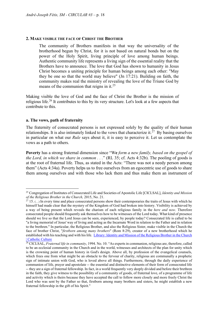#### <span id="page-17-0"></span>**2. MAKE VISIBLE THE FACE OF CHRIST THE BROTHER**

The community of Brothers manifests in that way the universality of the brotherhood begun by Christ, for it is not based on natural bonds but on the power of the Holy Spirit, living principle of love among human beings. Authentic community life represents a living sign of the essential reality that the Brothers have to announce. The love that God has shown to humanity in Jesus Christ becomes a uniting principle for human beings among each other: "May they be one so that the world may believe" (Jn 17:21). Building on faith, the community makes real the ministry of revealing the love of the Triune God by means of the communion that reigns in it.<sup>25</sup>

Making visible the love of God and the face of Christ the Brother is the mission of religious life.<sup>[26](#page-17-3)</sup> It contributes to this by its very structure. Let's look at a few aspects that contribute to this.

#### <span id="page-17-1"></span>**a. The vows, path of fraternity**

The fraternity of consecrated persons is not expressed solely by the quality of their human relationships. It is also intimately linked to the vows that characterize it.<sup>27</sup> By basing ourselves in particular on what our *Rule* says about it, it is easy to perceive it. Let us contemplate the vows as a path to others.

**Poverty** has a strong fraternal dimension since "W**e** *form a new family, based on the gospel of the Lord, in which we share in common . . .*" (RL 35; cf. Acts 4:32b). The pooling of goods is at the root of fraternal life. Thus, as stated in the Acts: "There was not a needy person among them" (Acts 4:34a). Poverty helps us to free ourselves from an egocentric use of goods to share them among ourselves and with those who lack them and thus make them an instrument of

<span id="page-17-2"></span><sup>25</sup> Congregation of Institutes of Consecrated Life and Societies of Apostolic Life [CICLSAL], *Identity and Mission of the Religious Brother in the Church,* 2015, No. 21.

 $^{27}$  15. (...) In every time and place consecrated persons show their contemporaries the traits of Jesus with which he himself had made clear that the mystery of the Kingdom of God had broken into history. Visibility is achieved by a way of being present which reveals the charism of each religious family in the *here and now*. Therefore consecrated people should frequently ask themselves how to be witnesses of the Lord today. What kind of presence should we live so that the Lord Jesus can be seen, experienced, by people today? Consecrated life is called to be "a living memorial of Jesus' way of living and acting as the Incarnate Word in relation to the Father and in relation to the brethren." In particular, the Religious Brother, and also the Religious Sister, make visible in the Church the face of brother Christ, "*firstborn among many brothers*" (Rom 8:29), creator of a new brotherhood which he established with his teaching and with his life. [Library: Identity and Mission of the Religious Brother in the Church](https://www.catholicculture.org/culture/library/view.cfm?recnum=11348)  [| Catholic Culture](https://www.catholicculture.org/culture/library/view.cfm?recnum=11348)

<span id="page-17-4"></span><span id="page-17-3"></span><sup>28</sup> CICLSAL, *Fraternal life in community*, 1994. No. 10. "As experts in communion, religious are, therefore, called to be an ecclesial community in the Church and in the world, witnesses and architects of the plan for unity which is the crowning point of human history in God's design. Above all, by profession of the evangelical counsels, which frees one from what might be an obstacle to the fervour of charity, religious are communally a prophetic sign of intimate union with God, who is loved above all things. Furthermore, through the daily experience of communion of life, prayer and apostolate -- the essential and distinctive elements of their form of consecrated life -- they are a sign of fraternal fellowship. In fact, in a world frequently very deeply divided and before their brethren in the faith, they give witness to the possibility of a community of goods, of fraternal love, of a programme of life and activity which is theirs because they have accepted the call to follow more closely and more freely Christ the Lord who was sent by the Father so that, firstborn among many brothers and sisters, he might establish a new fraternal fellowship in the gift of his Spirit."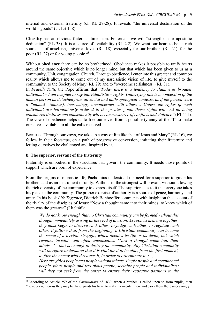internal and external fraternity (cf. RL 27-28). It reveals "the universal destination of the world's goods" (cf. LS 158).

**Chastity** has an obvious fraternal dimension. Fraternal love will "strengthen our apostolic dedication" (RL 38). It is a source of availability (RL 2.2). We want our heart to be "a rich source ... of unselfish, universal love" (RL 18), especially for our brothers (RL 21), for the poor (RL 27) or for young people.<sup>[28](#page-18-1)</sup>

Without **obedience** there can be no brotherhood. Obedience makes it possible to unify hearts around the same objective which is no longer mine, but that which has been given to us as a community, Unit, congregation, Church. Through obedience, I enter into this greater and common reality which allows me to come out of my narcissistic vision of life, to give myself to the community, to the Society of Mary (RL 29) and to "overcome selfishness" (RL 31).

In *Fratelli Tutti*, the Pope affirms that *"Today there is a tendency to claim ever broader individual – I am tempted to say individualistic – rights. Underlying this is a conception of the human person as detached from all social and anthropological contexts, as if the person were a "monad" (monás), increasingly unconcerned with others… Unless the rights of each individual are harmoniously ordered to the greater good, those rights will end up being considered limitless and consequently will become a source of conflicts and violence"* (FT 111). The vow of obedience helps us to free ourselves from a possible tyranny of the "I" to make ourselves available to all the calls received.

Because "Through our vows, we take up a way of life like that of Jesus and Mary" (RL 16), we follow in their footsteps, on a path of progressive conversion, imitating their fraternity and letting ourselves be challenged and inspired by it.

# <span id="page-18-0"></span>**b. The superior, servant of the fraternity**

Fraternity is embodied in the structures that govern the community. It needs those points of support which are born of experience.

From the origins of monastic life, Pachomius understood the need for a superior to guide his brothers and as an instrument of unity. Without it, the strongest will prevail, without allowing the rich diversity of the community to express itself. The superior sees to it that everyone takes his place in the community. The proper exercise of authority is a source of peace, harmony, and unity. In his book *Life Together*, Dietrich Bonhoeffer comments with insight on the account of the rivalry of the disciples of Jesus: "Now a thought came into their minds, to know which of them was the greatest" (Lk 9:46):

*We do not know enough that no Christian community can be formed without this thought immediately arising as the seed of division. As soon as men are together, they must begin to observe each other, to judge each other, to regulate each other. It follows that, from the beginning, a Christian community can become the scene of a terrible struggle, which decides its life or its death, but which remains invisible and often unconscious. "Now a thought came into their minds..." - that is enough to destroy the community. Any Christian community will therefore understand that it is vital for it to be able, from the first moment, to face the enemy who threatens it, in order to exterminate it. (…)*

*Here are gifted people and people without talents, simple people and complicated people, pious people and less pious people, sociable people and individualists: will they not seek from the outset to ensure their respective positions to the* 

<span id="page-18-1"></span><sup>28</sup>According to Article 259 of the *Constitutions* of 1839, when a brother is called upon to form pupils, then "however numerous they may be, he expands his heart to make them enter there and carry them there unceasingly."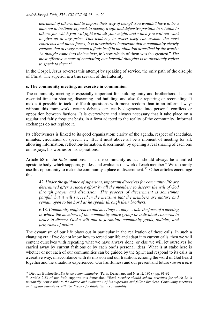*detriment of others, and to impose their way of being? You wouldn't have to be a man not to instinctively seek to occupy a safe and defensive position in relation to others, for which you will fight with all your might, and which you will not want to give up at any price. This tendency to assert itself can assume the most courteous and pious forms, it is nevertheless important that a community clearly realizes that at every moment it finds itself in the situation described by the words: "A thought came into their minds*, to know which of them was the greatest." *The most effective means of combating our harmful thoughts is to absolutely refuse to speak to them.*[29](#page-19-1)

In the Gospel, Jesus reverses this attempt by speaking of service, the only path of the disciple of Christ. The superior is a true servant of the fraternity.

## <span id="page-19-0"></span>**c. The community meeting, an exercise in communion**

The community meeting is especially important for building unity and brotherhood. It is an essential time for sharing, discerning and building, and also for repairing or reconciling. It makes it possible to tackle difficult questions with more freedom than in an informal way: without this framework, certain debates can easily degenerate into personal conflicts or opposition between factions. It is everywhere and always necessary that it take place on a regular and fairly frequent basis, in a form adapted to the reality of the community. Informal exchanges do not replace it.

Its effectiveness is linked to its good organization: clarity of the agenda, respect of schedules, minutes, circulation of speech, etc. But it must above all be a moment of meeting for all, allowing information, reflection-formation, discernment, by opening a real sharing of each one on his joys, his worries or his aspirations.

Article 68 of the *Rule* mentions: ". . . the community as such should always be a unified apostolic body, which supports, guides, and evaluates the work of each member." We too rarely use this opportunity to make the community a place of discernment.<sup>[30](#page-19-2)</sup> Other articles encourage this:

42. *Under the guidance of superiors, important directives for community life are determined after a sincere effort by all the members to discern the will of God through prayer and discussion. This process of discernment is sometimes painful, but it will succeed in the measure that the members are mature and remain open to the Lord as he speaks through their brothers*.

6.18. *Community conferences and meetings* … *may … take the form of a meeting in which the members of the community share group or individual concerns in order to discern God's will and to formulate community goals, policies, and programs of action.*

The dynamism of our life plays out in particular in the realization of these calls. In such a changing era, if we do not know how to reread our life and adapt it to current calls, then we will content ourselves with repeating what we have always done, or else we will let ourselves be carried away by current fashions or by each one's personal ideas. What is at stake here is whether or not each of our communities can be guided by the Spirit and respond to its calls in a creative way, in accordance with its mission and our tradition, echoing the word of God heard together and the situations experienced. Our fruitfulness and our present and future *raison d'être*

<span id="page-19-1"></span><sup>29</sup> Dietrich Bonhoeffer, *De la vie communautaire,* (Paris: Delachaux and Niestlé, 1968)*,* pp*.* 91-92.

<span id="page-19-2"></span><sup>30</sup> Article 2.23 of our *Rule* supports this dimension: "*Each member should submit activities for which he is personally responsible to the advice and evaluation of his superiors and fellow Brothers. Community meetings and regular interviews with the director facilitate this accountability*."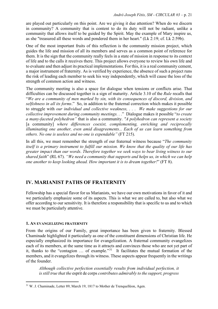are played out particularly on this point. Are we giving it due attention? When do we discern in community? A community that is content to do its duty will not be radiant, unlike a community that allows itself to be guided by the Spirit. May the example of Mary inspire us, as she "treasured all these words and pondered them in her heart." (Lk 2:19; cf. Lk 2:59b).

One of the most important fruits of this reflection is the community mission project, which guides the life and mission of all its members and serves as a common point of reference for them. It is the sign that the community really feels in a state of mission in response to its context of life and to the calls it receives there. This project allows everyone to review his own life and to evaluate and then adjust its practical implementations. For this, it is a real community cement, a major instrument of fraternity. As is verified by experience, the absence of such a project runs the risk of leading each member to seek his way independently, which will cause the loss of the strength of common action and witness.

The community meeting is also a space for dialogue when tensions or conflicts arise. That difficulties can be discussed together is a sign of maturity. Article 3.10 of the *Rule* recalls that "*We are a community of men marked by sin, with its consequences of discord, division, and selfishness in all its forms*." So, in addition to the fraternal correction which makes it possible to struggle with *our individual and collective weakness, . . . We make suggestions for our collective improvement during community meetings. . .*" Dialogue makes it possible "*to create a many-faceted polyhedron"* that is also a community. *"A polyhedron can represent a society* [a community] *where differences coexist, complementing, enriching and reciprocally illuminating one another, even amid disagreements... Each of us can learn something from others. No one is useless and no one is expendable"* (FT 215).

In all this, we must remember the strength of our fraternal witness because "*The community itself is a primary instrument to fulfill our mission. We know that the quality of our life has greater impact than our words*. *Therefore together we seek ways to bear living witness to our shared faith*" (RL 67). *"We need a community that supports and helps us, in which we can help one another to keep looking ahead. How important it is to dream together!*" (FT 8).

# <span id="page-20-0"></span>**IV. MARIANIST PATHS OF FRATERNITY**

Fellowship has a special flavor for us Marianists, we have our own motivations in favor of it and we particularly emphasize some of its aspects. This is what we are called to, but also what we offer according to our sensitivity. It is therefore a responsibility that is specific to us and to which we must be particularly attentive.

# <span id="page-20-1"></span>**1. AN EVANGELIZING FRATERNITY**

From the origins of our Family, great importance has been given to fraternity. Blessed Chaminade highlighted it particularly as one of the constituent dimensions of Christian life. He especially emphasized its importance for evangelization. A fraternal community evangelizes each of its members, at the same time as it attracts and convinces those who are not yet part of it, thanks to the "contagion  $\ldots$  of example."<sup>31</sup> It facilitates the mutual formation of the members, and it evangelizes through its witness. These aspects appear frequently in the writings of the founder.

*Although collective perfection essentially results from individual perfection, it is still true that the* esprit de corps *contributes admirably to the support, progress* 

<span id="page-20-2"></span><sup>31</sup> W. J. Chaminade, Letter 89, March 19, 1817 to Mother de Trenquelléon, Agen.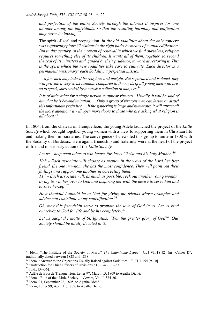*and perfection of the entire Society through the interest it inspires for one another among the individuals, so that the resulting harmony and edification may never be lacking.* [32](#page-21-0)

The spirit of zeal and propagation*. In the old sodalities about the only concern* was supporting pious Christians in the right paths by means of mutual edification. *But in this century, at the moment of renewal in which we find ourselves, religion requires something else of its children. It wants all of them, together, to second the zeal of its ministers and, guided by their prudence, to work at restoring it. This is the spirit which the new sodalities take care to cultivate. Each director is a permanent missionary; each Sodality, a perpetual mission*. [33](#page-21-1)

*… a few men may indeed be religious and upright. But separated and isolated, they will provide a very weak example compared to the needs of all young men who are, so to speak, surrounded by a massive collection of dangers.*[34](#page-21-2)

*It is of little value for a single person to appear virtuous. Usually, it will be said of him that he is beyond imitation. . .. Only a group of virtuous men can lessen or dispel this unfortunate prejudice .* . . *If the gathering is large and numerous, it will attract all the more attention; it will open more doors to those who are asking what religion is all about.* [35](#page-21-3)

In 1804, from the château of Trenquelléon, the young Adèle launched the project of the *Little Society* which brought together young women with a view to supporting them in Christian life and making them missionaries. The convergence of views led this group to unite in 1808 with the Sodality of Bordeaux. Here again, friendship and fraternity were at the heart of the project of life and missionary action of the *Little Society*.

*Let us …help each other to win hearts for Jesus Christ and his holy Mother!*[36](#page-21-4)

*10* ° - *Each associate will choose as mentor in the ways of the Lord her best friend, the one in whom she has the most confidence. They will point out their failings and support one another in correcting them*.

*11* ° - *Each associate will, as much as possible, seek out another young woman, trying to win her over to God and inspiring her with the desire to serve him and to save herself*. [37](#page-21-5)

*How thankful I should be to God for giving me friends whose examples and advice can contribute to my sanctification*. [38](#page-21-6)

*Oh, may this friendship serve to promote the love of God in us. Let us bind ourselves to God for life and be his completely*. [39](#page-21-7)

*Let us adopt the motto of St. Ignatius: "For the greater glory of God!" Our Society should be totally devoted to it.*

<span id="page-21-0"></span><sup>&</sup>lt;sup>32</sup> Idem, "The Institute of the Society of Mary," *The Chaminade Legacy* [CL] VII.18 [2] (in "Cahier D", traditionally dated between 1828 and 1838.

<span id="page-21-1"></span><sup>33</sup> Idem, **"**Answer to the Objections Usually Raised against Sodalities…", CL I.154 [9-10].

<span id="page-21-2"></span><sup>&</sup>lt;sup>34</sup> "Instruction for Chief Officers of Divisions," CL I-43, [32-33].

<span id="page-21-3"></span><sup>35</sup> Ibid., [34-36].

<span id="page-21-4"></span><sup>36</sup> Adèle de Batz de Trenquelléon, Letter 97, March 15, 1809 to Agathe Diché.

<span id="page-21-5"></span><sup>37</sup> Idem, "Rule of the 'Little Society,'" *Letters*, Vol. I, 324-26.

<span id="page-21-6"></span><sup>38</sup> Idem, 21, September 26, 1805, to Agathe Diché.

<span id="page-21-7"></span><sup>39</sup> Idem, Letter 99, April 11, 1809, to Agathe Diché.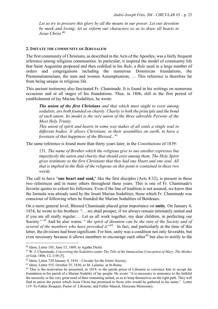*Let us try to procure this glory by all the means in our power. Let our devotion be meek and loving; let us reform our characters so as to draw all hearts to Jesus Christ*. [40](#page-22-1)

#### <span id="page-22-0"></span>**2. IMITATE THE COMMUNITY OF JERUSALEM**

The first community of Christians, as described in the Acts of the Apostles, was a fairly frequent reference among religious communities. In particular, it inspired the model of community life that Saint Augustine proposed and then codified in his *Rule*, a *Rule* used in a large number of orders and congregations including the numerous Dominican foundations, the Premonstratensians, the men and women Assumptionists, … This reference is therefore far from being unique in religious life.

This ancient testimony also fascinated Fr. Chaminade. It is found in his writings on numerous occasions and at all stages of his foundations. Thus, in 1806, still in the first period of establishment of lay Marian Sodalities, he wrote:

*The union of the first Christians and that which must ought to exist among sodalists, are both founded on charity. Charity is both the principle and the bond of such union. Its model is the very union of the three adorable Persons of the Most Holy Trinity.*

*This union of spirit and hearts in some way makes of all souls a single soul in different bodies. It allows Christians, in their assemblies on earth, to have a foretaste of that happiness of the Blessed...*<sup>[41](#page-22-2)</sup>

The same reference is found more than thirty years later, in the *Constitutions* of 1839:

131. *The name of Brother which the religious give to one another expresses but imperfectly the union and charity that should exist among them. The Holy Spirit gives testimony to the first Christians that they had one Heart and one soul. All that is implied in the Rule of the religious on this point is contained in these two words.*

The call to have "**one heart and soul,**" like the first disciples (Acts 4:32), is present in these two references and in many others throughout these years. This is one of Fr. Chaminade's favorite quotes to exhort his followers. Even if the line of tradition is not assured, we know that the formula was already used by the Jesuit Marian Sodalities, those which Fr. Chaminade was conscious of following when he founded the Marian Sodalities of Bordeaux.

On a more general level, Blessed Chaminade placed great importance on **unity**. On January 4, 1834, he wrote to his brothers: ". . .we shall prosper, if we always remain intimately united and if you are all really regular.… Let us all work together, my dear children, in perfecting our Society*.*" [42](#page-22-3) And he also warns: " *the spirit of disunion can be the ruin of the Society and of several of the members who have provoked it.*"[43](#page-22-4) In fact, and particularly at the time of this letter, the divisions had been significant. For him, unity was a condition not only favorable, but even necessary because it allows members to encourage each other<sup>[44](#page-22-5)</sup> but also to testify to the

<span id="page-22-1"></span><sup>40</sup> Idem, Letter 105, June 15, 1809, to Agathe Diché.

<span id="page-22-2"></span><sup>41</sup> W. J. Chaminade, *Concerning the Sodalities under The Title of the Immaculate Conception of Mary, The Mother of* God, 1806, CL I-58 [5].

<span id="page-22-3"></span><sup>42</sup> Idem, Letter 720 January 4, 1834 – Circular for the Entire Society.

<span id="page-22-4"></span><sup>43</sup> Idem, Letter 555, October 25, 1830, to M. Lalanne, at St-Remy.

<span id="page-22-5"></span><sup>&</sup>lt;sup>44</sup> This is the motivation he presented, in 1819, to the parish priest of Libourne to convince him to accept the foundation in his parish of a Marian Sodality of lay people. He wrote: "it is necessary to announce to the faithful the necessity or the very great need of their remaining united, so as to keep themselves on the right path. They will find in union the power which Jesus Christ has promised to those who would be gathered in his name." Letter 119–To Father Rouquet, Pastor of Libourne, and Father Maural, Diocesan Missionary.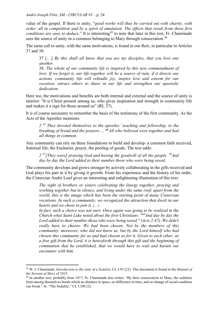value of the gospel. If there is unity, "*good works will thus be carried out with charity, with order, all in competition and by a spirit of emulation. The effects that result from these first conditions are easy to deduce*." It is interesting<sup>[45](#page-23-0)</sup> to note that later in this text, Fr. Chaminade sees the source of unity in a common belonging to Mary through consecration.<sup>[46](#page-23-1)</sup>

The same call to unity, with the same motivations, is found in our *Rule*, in particular in Articles 37 and 38:

37 […] *By this shall all know that you are my disciples, that you love one another.*

38. *The whole of our community life is inspired by this new commandment of love. If we forget it, our life together will be a source of ruin; if it directs our actions, community life will rekindle joy, inspire love and esteem for our vocation, attract others to share in our life and strengthen our apostolic dedication*.

Here too, the motivations and benefits are both internal and external and the source of unity is interior: "It is Christ present among us, who gives inspiration and strength to community life and makes it a sign for those around us" (RL 37).

It is of course necessary to remember the basis of the testimony of the first community. As the Acts of the Apostles mentions:

*2 42 They devoted themselves to the apostles' teaching and fellowship, to the breaking of bread and the prayers.… <sup>44</sup> All who believed were together and had all things in common*.

Any community can rely on these foundations to build and develop: a common faith received, fraternal life, the Eucharist, prayer, the pooling of goods. The text adds:

*2 47[They were] praising God and having the goodwill of all the people. 48And day by day the Lord added to their number those who were being saved*.

The community develops and grows stronger by actively collaborating in the gifts received and God plays his part in it by giving it growth. From his experience and the history of his order, the Cistercian André Louf gives an interesting and enlightening illustration of this text:

*The sight of brothers or sisters celebrating the liturgy together, praying and working together but in silence, and living under the same roof, apart from the world, this is the image which has been the starting point of many Cistercian vocations. In such a community, we recognized the attraction that dwelt in our hearts and we chose to join it.* (…)

*In fact, such a choice was not ours. Once again was going to be realized in the Church what Saint Luke noted about the first Christians: "<sup>48</sup>And day by day the Lord added to their number those who were being saved*.*" (Acts 2:47). We didn't really have to choose. We had been chosen. Not by the members of this community, moreover, who did not know us, but by the Lord himself who had chosen this community for us and had chosen us for it. Given to each other, as a free gift from the Lord, it is henceforth through this gift and the beginning of communion that he established, that we would have to wait and hasten our encounter with him.*

<span id="page-23-0"></span><sup>45</sup> W. J. Chaminade, *Introduction to the state of a Sodalist*, CL I.93 [23]. This document is found in the *Manual of the Servant of Mary* of 1815.

<span id="page-23-1"></span><sup>&</sup>lt;sup>46</sup> In another text, probably from 1817, Fr. Chaminade also writes: "By their consecration to Mary, the sodalists form among themselves bonds which no distance in space, no difference in time, and no change of social condition can break." *In*: "The Sodality," CL I.106 [2].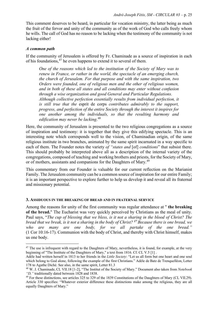This comment deserves to be heard, in particular for vocation ministry, the latter being as much the fruit of the fervor and unity of the community as of the work of God who calls freely whom he wills. The call of God has no reason to be lacking when the testimony of the community is not lacking either!

## <span id="page-24-0"></span>*A common path*

If the community of Jerusalem is offered by Fr. Chaminade as a source of inspiration in each of his foundations, <sup>[47](#page-24-2)</sup> he even happens to extend it to several of them.

*One of the reasons which led to the institution of the Society of Mary was to renew in France, or rather in the world, the spectacle of an emerging church, the church of Jerusalem. For that purpose and with the same inspiration, two Orders were founded, one of religious men and the other of religious women, and in both of these all states and all conditions may enter without confusion through a wise organization and good General and Particular Regulations. Although collective perfection essentially results from individual perfection, it is still true that the* esprit de corps *contributes admirably to the support, progress, and perfection of the entire Society through the interest it inspires for one another among the individuals, so that the resulting harmony and edification may never be lacking*. [48](#page-24-3)

Here, the community of Jerusalem is presented to the two religious congregations as a source of inspiration and testimony: it is together that they give this edifying spectacle. This is an interesting note which corresponds well to the vision, of Chaminadian origin, of the same religious institute in two branches, animated by the same spirit incarnated in a way specific to each of them. The Founder notes the variety *of "states and* [of] *conditions*" that subsist there. This should probably be interpreted above all as a description of the internal variety of the congregations, composed of teaching and working brothers and priests, for the Society of Mary, or of mothers, assistants and companions for the Daughters of Mary.<sup>49</sup>

This commentary from our Founder is valuable for our current reflection on the Marianist Family. The Jerusalem community can be a common source of inspiration for our entire Family; it is an important perspective to explore further to help us develop it and reveal all its fraternal and missionary potential.

#### <span id="page-24-1"></span>**3. ASSIDUOUS IN THE BREAKING OF BREAD AND IN FRATERNAL SERVICE**

Among the reasons for unity of the first community was regular attendance at " **the breaking of the bread.**" The Eucharist was very quickly perceived by Christians as the meal of unity. Paul says, "*The cup of blessing that we bless, is it not a sharing in the blood of Christ? The bread that we break, is it not a sharing in the body of Christ? <sup>17</sup> Because there is one bread, we who are many are one body, for we all partake of the one bread.["](https://www.biblegateway.com/passage/?search=1%20Corinthians+10&version=NRSVACE)* (1 Cor 10:16-17). Communion with the body of Christ, and thereby with Christ himself, makes us one body.

<span id="page-24-2"></span><sup>&</sup>lt;sup>47</sup> The use is infrequent with regard to the Daughters of Mary, nevertheless, it is found, for example, at the very beginning of "The Institute of the Daughters of Mary," a text from 1816. Cf. CL V.5 [1] .

Adèle had written herself in 1813 to her friends in the *Little Society*: "Let us all form but one heart and one soul which belong to God alone, following the example of the first Christians." Adèle de Batz de Trenquelléon, Letter 178 to Agathe Diché. See also, in the same spirit, Letter 81.3

<span id="page-24-3"></span><sup>48</sup> W. J. Chaminade, CL VII.18 [1-2], "The Institut of the Society of Mary." Document also taken from *Notebook "D,"* traditionally dated between 1828 and 1838.

<span id="page-24-4"></span><sup>&</sup>lt;sup>49</sup> For these distinctions, see articles 325 to 329 of the 1839 Constitutions of the Daughters of Mary (CL VII.29). Article 330 specifies: "Whatever exterior difference these distinctions make among the religious, they are all equally Daughters of Mary."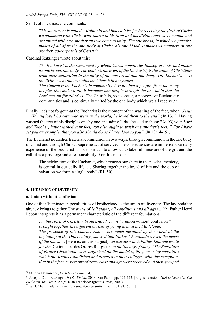Saint John Damascene comments:

*This sacrament is called a Koinonia and indeed it is; for by receiving the flesh of Christ we commune with Christ who shares in his flesh and his divinity and we commune and are united with one another and we come to unity. The one bread, in which we partake, makes of all of us the one Body of Christ, his one blood. It makes us members of one another, co-corporals of Christ*. [50](#page-25-2)

Cardinal Ratzinger wrote about this:

*The Eucharist is the sacrament by which Christ constitutes himself in body and makes us one bread, one body. The content, the event of the Eucharist, is the union of Christians from their separation in the unity of the one bread and one body. The Eucharist … is the living event that sustains the Church in her future.* 

*The Church is the Eucharistic community. It is not just a people: from the many peoples that make it up, it becomes one people through the one table that the Lord sets up for all of us.* The Church is, so to speak, a network of Eucharistic communities and is continually united by the one body which we all receive.<sup>[51](#page-25-3)</sup>

Finally, let's not forget that the Eucharist is the moment of the washing of the feet, when "*Jesus … Having loved his own who were in the world, he loved them to the end"* (Jn 13,1). Having washed the feet of his disciples one by one, including Judas, he said to them: "*So if I, your Lord and Teacher, have washed your feet, you also ought to wash one another's feet. <sup>15</sup> For I have set you an example, that you also should do as I have done to you"* (Jn 13:14-15),

The Eucharist nourishes fraternal communion in two ways: through communion in the one body of Christ and through Christ's supreme act of service. The consequences are immense. Our daily experience of the Eucharist is not too much to allow us to take full measure of the gift and the call: it is a privilege and a responsibility. For this reason:

The celebration of the Eucharist, which renews our share in the paschal mystery, is central in our daily life. … Sharing together the bread of life and the cup of salvation we form a single body" (RL 50).

# <span id="page-25-0"></span>**4. THE UNION OF DIVERSITY**

# <span id="page-25-1"></span>**a. Union without confusion**

One of the Chaminadian peculiarities of brotherhood is the union of diversity. The lay Sodality already brings together Christians of "*all states, all conditions and all ages* ..."[52](#page-25-4) Father Henri Lebon interprets it as a permanent characteristic of the different foundations:

*. . . the spirit of Christian brotherhood,* . . . *in "a* union without confusion*,*" *brought together the different classes of young men at the Madeleine. The presence of this characteristic, very much heralded by the world at the beginning of the 19th century , showed that Father Chaminade sensed the needs of the times, …* [Here is, on this subject]*, an extract which Father Lalanne wrote for the* Dictionnaire des Ordres Religieux *on the Society of Mary. "The Sodalities of Father Chaminade were organized on the model of the former lay sodalities which the Jesuits established and directed in their colleges, with this exception, that in the former persons of every class and age were received and then grouped* 

<span id="page-25-2"></span><sup>50</sup> St John Damascene, *De fide orthodoxa*, 4, 13.

<span id="page-25-3"></span><sup>51</sup> Joseph, Card. Ratzinger, *Il Dio Vicino*, 2008, San Paolo, pp. 121-122. [English version: *[God Is Near Us: The](https://www.amazon.com/God-Near-Us-Eucharist-Heart/dp/0898709628/ref=sr_1_1?crid=GBKDT6829XYV&keywords=ratzinger+god+is+near+us&qid=1655663822&sprefix=ratzinger+the+god%2Caps%2C201&sr=8-1)  [Eucharist, the Heart of Life](https://www.amazon.com/God-Near-Us-Eucharist-Heart/dp/0898709628/ref=sr_1_1?crid=GBKDT6829XYV&keywords=ratzinger+god+is+near+us&qid=1655663822&sprefix=ratzinger+the+god%2Caps%2C201&sr=8-1)*. (San Francisco: Ignatius Press, 2003).

<span id="page-25-4"></span><sup>52</sup> W. J. Chaminade, *Answers to 7 questions or difficulties…*, CLVI.153 [2].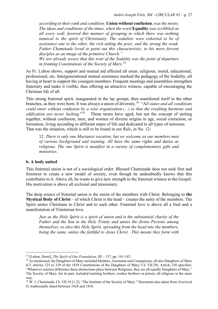*according to their rank and condition.* **Union without confusion**, *was the motto. The ideas and conditions of the times, when the word* **Equality** *was scribbled on all every wall, favored this manner of grouping in which there was nothing inimical to the spirit of Christianity. The sodalists were exhorted to be of assistance one to the other, the rich aiding the poor, and the strong the weak. Father Chaminade loved to point out this characteristic, to his more fervent disciples as an image of the primitive Church."*

*We are already aware that this trait of the Sodality was the point of departure in framing Constitutions of the Society of Mary*. [53](#page-26-1)

As Fr. Lebon shows, support and mutual aid affected all areas: religious, moral, educational, professional, etc. Intergenerational mutual assistance marked the pedagogy of the Sodality, all having at heart to support the youngest members. Frequent meetings and assemblies strengthen fraternity and make it visible, thus offering an attractive witness, capable of encouraging the Christian life of all.

This strong fraternal spirit, inaugurated in the lay groups, then manifested itself in the other branches, as they were born. It was always a union of diversity.[54](#page-26-2) "A*ll states and all conditions could enter without confusion by a wise organization* (…) *so that the resulting harmony and*  Those terms have aged, but not the concept of uniting. together, without confusion, men, and women of diverse origins in age, social extraction, or formation, living according to different states of life and dedicated to all types of missions. That was the situation, which is still to be found in our *Rule*, in No. 12:

12. *There is only one Marianist vocation, but we welcome as our members men of various background and training. All have the same rights and duties as religious. The one Spirit is manifest in a variety of complementary gifts and ministries.*

#### <span id="page-26-0"></span>**b. A body united**

This fraternal union is not of a sociological order. Blessed Chaminade does not seek first and foremost to create a new model of society, even though he undoubtedly knows that this contributes to it. Above all, he wants to give new strength to the fraternal witness to the Gospel. His motivation is above all ecclesial and missionary.

The deep source of fraternal union is the union of the members with Christ. Belonging to **the Mystical Body of Christ** – of which Christ is the head – creates the unity of the members. The Spirit unites Christians to Christ and to each other. Fraternal love is above all a fruit and a manifestation of Trinitarian love.

*Just as the Holy Spirit is a spirit of union and is the substantial charity of the Father and the Son in the Holy Trinity and unites the divine Persons among themselves, so also this Holy Spirit, spreading from the head into the members, being the same, unites the faithful to Jesus Christ. This means they form with* 

<span id="page-26-1"></span><sup>53</sup> [Lebon, Henri], *The Spirit of Our Foundation*, III – 137, pp. 141-142.

<span id="page-26-2"></span><sup>&</sup>lt;sup>54</sup> As mentioned, the Daughters of Mary included Mothers, Assistants and Companions, all also Daughters of Mary (Cf. articles 325 to 329 of the 1839 Constitutions of the Daughters of Mary; CL VII.29). Article 330 specifies: "Whatever exterior difference these distinctions place between Religious, they are all equally Daughters of Mary." The Society of Mary, for its part, included teaching brothers, worker brothers or priests, all religious in the same way.

<span id="page-26-3"></span><sup>55</sup> W. J. Chaminade, CL VII.18 [1-2], "The Institute of the Society of Mary." Document also taken from *Notebook D*, traditionally dated between 1828 and 1838.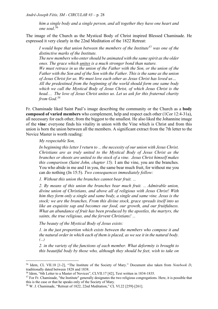*him a single body and a single person, and all together they have one heart and one soul*. [56](#page-27-0)

The image of the Church as the Mystical Body of Christ inspired Blessed Chaminade. He expressed it very clearly in the 22nd Meditation of the 1822 Retreat:

*I would hope that union between the members of the Institute*[57](#page-27-1) *was one of the distinctive marks of the Institute.*

*The new members who enter should be animated with the same spirit as the older ones. The grace which unites is a much stronger bond than nature. We must retrace in us the union of the Father with the Son, or the union of the Father with the Son and of the Son with the Father. This is the same as the union of Jesus Christ for us. We must love each other as Jesus Christ has loved us… All the predestined from the beginning of the world should form one same body which we call the Mystical Body of Jesus Christ, of which Jesus Christ is the head.*… *The love of Jesus Christ unites us. Let us ask for this fraternal charity from God. [58](#page-27-2)*

Fr. Chaminade liked Saint Paul's image describing the community or the Church as a **body composed of varied members** who complement, help and respect each other (1Cor 12:4-31a), all necessary for each other, from the biggest to the smallest. He also liked the Johannine image of the **vine**: everyone finds his vitality in union with the Vine which is Christ and from this union is born the union between all the members. A significant extract from the 7th letter to the Novice Master is worth reading:

*My respectable Son,* 

*In beginning this letter I return to … the necessity of our union with Jesus Christ. Christians are as truly united to the Mystical Body of Jesus Christ as the branches or shoots are united to the stock of a vine. Jesus Christ himself makes this comparison (Saint John, chapter 15).* I am the vine, you are the branches. You who abide in me and I in you, the same bear much fruit, for without me you can do nothing (Jn 15:5). *Two consequences immediately follow:* 

*1. Without this union the branches cannot bear fruit. …*

*2. By means of this union the branches bear much fruit. … Admirable union, divine union of Christians, and above all of religious with Jesus Christ! With him they form only a single and same body, a single and same vine. Jesus is the stock; we are the branches, From this divine stock, grace spreads itself into us like an exquisite sap and becomes our food, our growth, and our fruitfulness. What an abundance of fruit has been produced by the apostles, the martyrs, the saints, the true religious, and the fervent Christians! …*

*The beauty of the Mystical Body of Jesus exists:* 

*1. in the just proportion which exists between the members who compose it and the natural order in which each of them is placed, as we see it in the natural body. (…)*

*2. in the variety of the functions of each member. What deformity is brought to this beautiful body by those who, although they should be feet, wish to take on* 

<span id="page-27-0"></span><sup>56</sup> Idem, CL VII.18 [1-2], "The Institute of the Society of Mary." Document also taken from *Notebook D*, traditionally dated between 1828 and 1838.

<sup>56</sup> Idem, "6th Letter to a Master of Novices", CLVII.17 [42], Text written in 1834-1835.

<span id="page-27-1"></span><sup>&</sup>lt;sup>57</sup> For Fr. Chaminade, "the Institute" generally designates the two religious congregations. Here, it is possible that this is the case or that he speaks only of the Society of Mary.

<span id="page-27-2"></span><sup>58</sup> W. J. Chaminade, "Retreat of 1822, 22nd Meditation," CL VI.22 [259]-[261].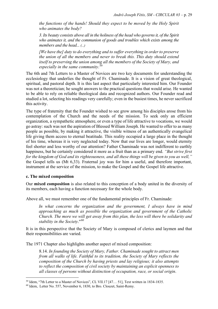*the functions of the hands! Should they expect to be moved by the Holy Spirit who animates the body?* 

*3. Its beauty consists above all in the holiness of the head who governs it, of the Spirit who animates it, and the communion of goods and troubles which exists among the members and the head... (...)*

*[We have the] duty to do everything and to suffer everything in order to preserve the union of all the members and never to break this. This duty should extend itself to preserving the union among all the members of the Society of Mary, and especially in the same community*. [59](#page-28-1)

The 6th and 7th Letters to a Master of Novices are two key documents for understanding the ecclesiology that underlies the thought of Fr. Chaminade. It is a vision of great theological, spiritual, and pastoral depth. It is this last aspect that particularly interested him. Our Founder was not a theoretician; he sought answers to the practical questions that would arise. He wanted to be able to rely on reliable theological data and recognized authors. Our Founder read and studied a lot, selecting his readings very carefully; even in the busiest times, he never sacrificed this activity.

The type of fraternity that the Founder wished to see grow among his disciples arose from his contemplation of the Church and the needs of the mission. To seek only an efficient organization, a sympathetic atmosphere, or even a type of life attractive to vocations, we would go astray: such was not the aspiration of Blessed William Joseph. He wanted to offer to as many people as possible, by making it attractive, the visible witness of an authentically evangelical life giving them access to eternal beatitude. This reality occupied a large place in the thought of his time, whereas it is very neglected today. Now that our lives are longer, would eternity feel shorter and less worthy of our attention? Father Chaminade was not indifferent to earthly happiness, but he certainly considered it more as a fruit than as a primary end. *"But strive first for the kingdom of God and its righteousness, and all these things will be given to you as well,"* the Gospel tells us (Mt 6,33). Fraternal joy was for him a useful, and therefore important, instrument at the service of the mission, to make the Gospel and the Gospel life attractive.

#### <span id="page-28-0"></span>**c. The mixed composition**

Our **mixed composition** is also related to this conception of a body united in the diversity of its members, each having a function necessary for the whole body.

Above all, we must remember one of the fundamental principles of Fr. Chaminade:

*In what concerns the organization and the government, I always have in mind approaching as much as possible the organization and government of the Catholic Church. The more we will get away from this plan, the less will there be solidarity and stability in the Society*."[60](#page-28-2)

It is in this perspective that the Society of Mary is composed of clerics and laymen and that their responsibilities are varied.

The 1971 Chapter also highlights another aspect of mixed composition:

8.14. *In founding the Society of Mary, Father. Chaminade sought to attract men from all walks of life. Faithful to its tradition, the Society of Mary reflects the composition of the Church by having priests and lay religious; it also attempts to reflect the composition of civil society by maintaining an explicit openness to all classes of persons without distinction of occupation, race, or social origin*.

<span id="page-28-1"></span><sup>59</sup> Idem, "7th Letter to a Master of Novices", CL VII.17 [47… 51], Text written in 1834-1835.

<span id="page-28-2"></span><sup>60</sup> Idem, Letter No. 557, November 6, 1830, to Bro. Clouzet, Saint-Remy.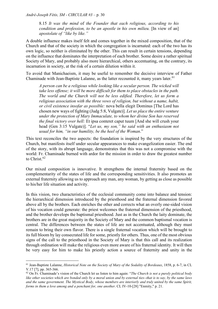8.15 *It was the mind* of *the Founder that each religious, according to his condition and profession, to be an apostle in his own milieu.* [In view of an] *apostolate of "like by like."*

A double influence makes itself felt and comes together in the mixed composition, that of the Church and that of the society in which the congregation is incarnated: each of the two has its own logic, so neither is eliminated by the other. This can result in certain tensions, depending on the influence that dominates the interpretation of each brother. Some desire a rather spiritual Society of Mary, and probably also more hierarchical, others accentuating, on the contrary, its incarnation in society, at the risk of a certain dilution within it.

To avoid that Manichaeism, it may be useful to remember the decisive interview of Father Chaminade with Jean-Baptiste Lalanne, as the latter recounted it, many years later.<sup>[61](#page-29-0)</sup>

*A person can be a religious while looking like a secular person. The wicked will take less offense; it will be more difficult for them to place obstacles in the path. The world and the Church will not be less edified. Therefore, let us form a religious association with the three vows of religion, but without a name, habit, or civil existence insofar as possible:* nova bella elegit Dominus [The Lord has chosen new ways of fighting (Judg 5:8, Vulgate)]. *Let us place the entire venture under the protection of Mary Immaculate, to whom her divine Son has reserved the final victory over hell:* Et ipsa conteret caput tuum [And she will crush your head (Gen 3:15 Vulgate)]. "*Let us, my son," he said with an enthusiasm not usual for him, "in our humility, be the heel of the Woman*."

This text reconciles the two aspects: the foundation is inspired by the very structures of the Church, but manifests itself under secular appearances to make evangelization easier. The end of the story, with its abrupt language, demonstrates that this was not a compromise with the world: Fr. Chaminade burned with ardor for the mission in order to draw the greatest number to Christ. [62](#page-29-1)

Our mixed composition is innovative. It strengthens the internal fraternity based on the complementarity of the states of life and the corresponding sensitivities. It also promotes an external fraternity allowing us to approach any man, any woman, by getting as close as possible to his/her life situation and activity.

In this vision, two characteristics of the ecclesial community come into balance and tension: the hierarchical dimension introduced by the priesthood and the fraternal dimension favored above all by the brothers. Each enriches the other and corrects what an overly one-sided vision of his vocation could generate: the priest welcomes the fraternal dimension of the priesthood, and the brother develops the baptismal priesthood. Just as in the Church the laity dominate, the brothers are in the great majority in the Society of Mary and the common baptismal vocation is central. The differences between the states of life are not accentuated, although they must remain to bring their own flavor. There is a single fraternal vocation which will be brought to its full bloom by lay consecrated life for some, priestly for others. Thus, one of the most obvious signs of the call to the priesthood in the Society of Mary is that this call and its realization through ordination will make the religious even more aware of his fraternal identity. It will then be very easy for him to make his priestly action a source of fraternity and unity in the

<span id="page-29-0"></span><sup>61</sup> Jean-Baptiste Lalanne, *Historical Note on the Society of Mary of the Sodality of Bordeaux*, 1858, p. 6-7, in CL V.17 [7], pp. 365-366.

<span id="page-29-1"></span><sup>62</sup> On Fr. Chaminade's vision of the Church let us listen to him again: "*The Church is not a purely political body like other societies which are bonded only by a moral union and by external ties--that is to say, by the same laws and the same government. The Mystical Body, whose members are interiorly and truly united by the same Spirit, forms in them a love among and a penchant for, one another*. CL IV-10-[28] "Enmity," p. 21.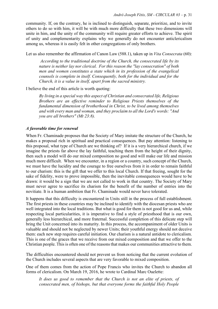community. If, on the contrary, he is inclined to distinguish, separate, prioritize, and to invite others to do so with him, it will be with much more difficulty that these two dimensions will unite in him, and the unity of the community will require greater efforts to achieve. The spirit of unity and complementarity explains why we generally do not encounter anticlericalism among us, whereas it is easily felt in other congregations of only brothers.

Let us also remember the affirmation of Canon Law (588.1), taken up in *Vita Consecrata* (60):

*According to the traditional doctrine of the Church, the consecrated life by its nature is neither lay nor clerical. For this reason the "lay consecration" of both men and women constitutes a state which in its profession of the evangelical counsels is complete in itself. Consequently, both for the individual and for the Church, it is a value in itself, apart from the sacred ministry.* 

I believe the end of this article is worth quoting:

*By living in a special way this aspect of Christian and consecrated life, Religious Brothers are an effective reminder to Religious Priests themselves of the fundamental dimension of brotherhood in Christ, to be lived among themselves and with every man and woman, and they proclaim to all the Lord's words: "And you are all brothers" (Mt 23:8).* 

#### <span id="page-30-0"></span>*A favorable time for renewal*

When Fr. Chaminade proposes that the Society of Mary imitate the structure of the Church, he makes a proposal rich in spiritual and practical consequences. But pay attention: listening to this proposal, what type of Church are we thinking of? If it is a very hierarchical church, if we imagine the priests far above the lay faithful, teaching them from the height of their dignity, then such a model will do our mixed composition no good and will make our life and mission much more difficult. When we encounter, in a region or a country, such concept of the Church, we must have the lucidity and the courage to free ourselves from it in order to remain faithful to our charism: this is the gift that we offer to this local Church. If that freeing, sought for the sake of fidelity, were to prove impossible, then the inevitable consequences would have to be drawn: it would be a sign that we are not called to work in that country. The Society of Mary must never agree to sacrifice its charism for the benefit of the number of entries into the novitiate. It is a human ambition that Fr. Chaminade would never have tolerated.

It happens that this difficulty is encountered in Units still in the process of full establishment. The first priests in these countries may be inclined to identify with the diocesan priests who are well integrated into the local traditions. But what is good for them is not good for us and, while respecting local particularities, it is imperative to find a style of priesthood that is our own, generally less hierarchical, and more fraternal. Successful completion of this delicate step will bring the Unit concerned into its maturity. In this process, the accompaniment of older Units is valuable and should not be neglected by newer Units; their youthful energy should not deceive them: each new step requires careful initiation. Our charism is a natural antidote to clericalism. This is one of the graces that we receive from our mixed composition and that we offer to the Christian people. This is often one of the reasons that makes our communities attractive to them.

The difficulties encountered should not prevent us from noticing that the current evolution of the Church includes several aspects that are very favorable to mixed composition.

One of them comes from the action of Pope Francis who invites the Church to abandon all forms of clericalism. On March 19, 2016, he wrote to Cardinal Marc Ouelette:

*It does us good to remember that the Church is not an elite of priests, of consecrated men, of bishops, but that everyone forms the faithful Holy People*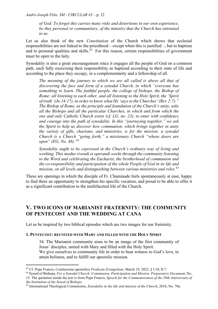*of God. To forget this carries many risks and distortions in our own experience, be they personal or communitary, of the ministry that the Church has entrusted to us.* 

Let us also think of the new *Constitution* of the Church which shows that ecclesial responsibilities are not linked to the priesthood – except when this is justified –, but to baptism and to personal qualities and skills.<sup>63</sup> For this reason, certain responsibilities of government must be open to the laity.

Synodality is also a great encouragement since it engages all the people of God on a common path, each fully exercising their responsibility as baptized according to their state of life and according to the place they occupy, in a complementarity and a fellowship of all.

*The meaning of the journey to which we are all called is above all that of discovering the face and form of a synodal Church, in which "everyone has something to learn. The faithful people, the college of bishops, the Bishop of Rome: all listening to each other, and all listening to the Holy Spirit, the 'Spirit of truth' (Jn 14:17), in order to know what He 'says to the Churches' (Rev 2:7)." The Bishop of Rome, as the principle and foundation of the Church's unity, asks all the Bishops and all the particular Churches, in which and from which the one and only Catholic Church exists (cf. LG, no. 23), to enter with confidence and courage into the path of synodality. In this "journeying together," we ask the Spirit to help us discover how communion, which brings together in unity the variety of gifts, charisms, and ministries, is for the mission: a synodal Church is a Church "going forth," a missionary Church "whose doors are open" (EG, No. 46). [64](#page-31-3)*

*Synodality ought to be expressed in the Church's ordinary way of living and working. This modus vivendi et operandi works through the community listening to the Word and celebrating the Eucharist, the brotherhood of communion and the co-responsibility and participation of the whole People of God in its life and mission, on all levels and distinguishing between various ministries and roles.[65](#page-31-4)*

These are openings in which the disciple of Fr. Chaminade feels spontaneously at ease, happy to find there an opportunity to strengthen his specific vocation, and proud to be able to offer it as a significant contribution to the multifaceted life of the Church.

# <span id="page-31-0"></span>**V. TWO ICONS OF MARIANIST FRATERNITY: THE COMMUNITY OF PENTECOST AND THE WEDDING AT CANA**

Let us be inspired by two biblical episodes which are two images for our fraternity.

#### <span id="page-31-1"></span>**1. PENTECOST: REUNITED WITH MARY AND FILLED WITH THE HOLY SPIRIT**

34. The Marianist community aims to be an image of the first community of Jesus' disciples, united with Mary and filled with the Holy Spirit. We give ourselves to community life in order to bear witness to God's love, to attain holiness, and to fulfill our apostolic mission.

<span id="page-31-2"></span><sup>63</sup> Cf. Pope Francis, Costituzione apostolica *Predicate Evangelium*, March 19, 2022, § I.10; II.7.

<span id="page-31-3"></span><sup>64</sup> Synod of Bishops, *For a Synodal Church: Communion, Participation and Mission. Preparatory Document*, No. 15. The quotation inside the text is from Pope Francis, *Speech for the Commemoration of the 50th Anniversary of the Institution of the Synod of Bishops.*

<span id="page-31-4"></span><sup>65</sup> International Theological Commission, *Synodality in the life and mission of the Church*, 2018, No. 70a*.*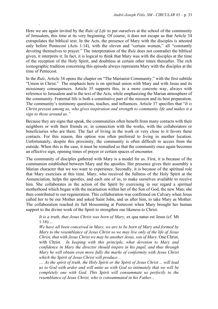Here we are again invited by the *Rule of Life* to put ourselves at the school of the community of Jerusalem, this time at its very beginning. Of course, it does not escape us that Article 34 extrapolates the biblical text. In the Acts, the presence of Mary with the disciples is attested only before Pentecost (Acts 1:14), with the eleven and "certain women," all "constantly devoting themselves to prayer." The interpretation of the *Rule* does not contradict the biblical given, it interprets it. In fact, it is logical to think that Mary was with the disciples at the time of the reception of the Holy Spirit, and doubtless at certain other times thereafter. The rich iconographic tradition concerning this episode always represents Mary with the disciples at the time of Pentecost.

.

In the *Rule*, Article 34 opens the chapter on "The Marianist Community," with the first subtitle "Union in Christ." The emphasis here is on spiritual union with Mary and with Jesus and its missionary consequences. Article 35 supports this, in a more concrete way, always with reference to Jerusalem and to the text of the Acts, while emphasizing the Marian atmosphere of the community. Fraternal life is both a constitutive part of the mission and its best preparation. The community's testimony questions, teaches, and influences. Article 37 specifies that "*It is Christ present among us, who gives inspiration and strength to community life and makes it a sign to those around us."*

Because they are signs that speak, the communities often benefit from many contacts with their neighbors or with their friends or, in connection with the works, with the collaborators or beneficiaries who are there. The fact of living in the work or very close to it favors these contacts. For this reason, this option was often preferred to living in another location. Unfortunately, despite this proximity, the community is often difficult to access from the outside. When this is the case, it must be remedied so that the community once again becomes an effective sign, opening times of prayer or certain spaces of encounter.

The community of disciples gathered with Mary is a model for us. First, it is because of the communion established between Mary and the apostles. Her presence gives their assembly a Marian character that we too want to experience. Secondly, it is because of the spiritual role that Mary exercises at this time. Mary, who received the fullness of the Holy Spirit at the Annunciation, helps the apostles, and each one of us, to make ourselves available to receive him. She collaborates in the action of the Spirit by exercising in our regard a spiritual motherhood which began with the incarnation within her of the Son of God, the new Man; she then contributed to our regeneration. This collaboration was confirmed on Calvary when Jesus called her to be our Mother and asked Saint John, and us after him, to take Mary as Mother. The collaboration reached its full blossoming at Pentecost when Mary brought her human support to the divine work of the Spirit to strengthen our likeness to Christ.

*It is a truth, that Jesus Christ was born of Mary,* ex qua natus est Jesus (cf. Mt 1:16)…

*We have all been conceived in Mary, we are to be born of Mary and formed by Mary to the resemblance of Jesus Christ so we may live only of the life of Jesus Christ, that with Jesus Christ we may be another Jesus, son of Mary.* One Christ, with Christ. *In keeping with this principle, what devotion to Mary and confidence in Mary the director should inspire in his pupil, and thus through Mary he will obtain even more fully the marks of conformity with Jesus Christ which the Spirit of Jesus Christ will produce*…

… *As the spirit of truth, the Holy Spirit or the Spirit of Jesus Christ … will lead us to God with ardor and will unite us with God so intimately that we will be completely one with God. This Spirit will consummate us perfectly to the resemblance of Jesus Christ, who is consummated in his Father...*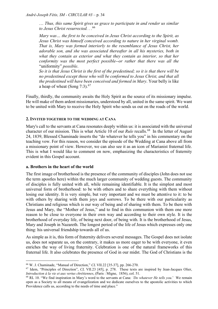… *Thus, this same Spirit gives us grace to participate in and render us similar to Jesus Christ resurrected. . .*[66](#page-33-2)

*Mary was… the first to be conceived in Jesus Christ according to the Spirit, as Jesus Christ was himself conceived according to nature in her virginal womb. That is, Mary was formed interiorly to the resemblance of Jesus Christ, her adorable son, and she was associated thereafter in all his mysteries, both in what they contain as exterior and what they contain as interior, so that her conformity was the most perfect possible--or rather that there was all the* "uniformity" *possible*.

*So it is that Jesus Christ is the first of the predestined; so it is that there will be no predestined except those who will be conformed to Jesus Christ, and that all the predestined will have been conceived and formed in Mary*. Your belly is like a heap of wheat (Song 7:3).<sup>[67](#page-33-3)</sup>

Finally, thirdly, the community awaits the Holy Spirit as the source of its missionary impulse. He will make of them ardent missionaries, understood by all, united in the same spirit. We want to be united with Mary to receive the Holy Spirit who sends us out on the roads of the world.

# <span id="page-33-0"></span>**2. INVITED TOGETHER TO THE WEDDING AT CANA**

Mary's call to the servants at Cana resonates deeply within us: it is associated with the universal character of our mission. This is what Article 10 of our *Rule* recalls. [68](#page-33-4) In the letter of August 24, 1839, Blessed Chaminade inserts the "do whatever he tells you" in his commentary on the teaching vow. For this reason, we consider the episode of the Wedding at Cana above all from a missionary point of view. However, we can also see it as an icon of Marianist fraternal life. This is what I would like to comment on now, emphasizing the characteristics of fraternity evident in this Gospel account.

# <span id="page-33-1"></span>**a. Brothers in the heart of the world**

The first image of brotherhood is the presence of the community of disciples (John does not use the term apostles here) within the much larger community of wedding guests. The community of disciples is fully united with all, while remaining identifiable. It is the simplest and most universal form of brotherhood: to be with others and to share everything with them without losing our identity. It is very simple, but very important and we must be attentive to it: to be with others by sharing with them joys and sorrows. To be there with our particularity as Christians and religious which is our way of being and of sharing with them. To be there with Jesus and Mary, the "Mother of Jesus," and to find in this communion with them one more reason to be close to everyone in their own way and according to their own style. It is the brotherhood of everyday life, of being next door, of being with. It is the brotherhood of Jesus, Mary and Joseph in Nazareth. The longest period of the life of Jesus which expresses only one thing: his universal friendship towards all of us.

As simple as it is, this form of fraternity delivers several messages. The Gospel does not isolate us, does not separate us, on the contrary, it makes us more eager to be with everyone, it even enriches the way of living fraternity. Celebration is one of the natural frameworks of this fraternal life. It also celebrates the presence of God in our midst. The God of Christians is the

<span id="page-33-2"></span><sup>66</sup> W. J. Chaminade, "Manual of Direction," *CL* VII.22 [35-37], pp. 266-270.

<span id="page-33-3"></span><sup>67</sup> Idem, "Principles of Direction", *CL* VII.23 [45], p. 278. These texts are inspired by Jean-Jacques Olier, *Introduction à la vie et aux vertus chrétiennes*, (Paris : Migne, 1856), col. 51.

<span id="page-33-4"></span><sup>68</sup> RL 10. "We find inspiration in Mary's word to the servants at Cana: *'Do whatever He tells you*.' We remain open as a Society to all means of evangelization and we dedicate ourselves to the apostolic activities to which Providence calls us, according to the needs of time and place."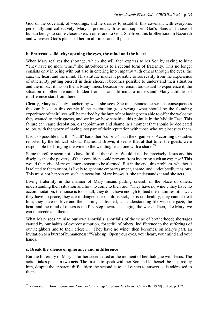God of the covenant, of weddings, and he desires to establish this covenant with everyone, personally and collectively. Mary is present with us and supports God's plans and those of human beings to come closer to each other and to God. She lived this brotherhood in Nazareth and wherever God's plans led her, in all times and all places.

## <span id="page-34-0"></span>**b. Fraternal solidarity: opening the eyes, the mind and the heart**

When Mary realizes the shortage, which she will then express to her Son by saying to him: "They have no more wine," she introduces us to a second form of fraternity. This no longer consists only in being with but also in entering into empathy with others through the eyes, the ears, the heart and the mind. This attitude makes it possible to see reality from the experience of others. By putting oneself in their shoes, it becomes possible to understand their situation and the impact it has on them. Many times, because we remain too distant to experience it, the situation of others remains hidden from us and difficult to understand. Many attitudes of indifference start from there.

Clearly, Mary is deeply touched by what she sees. She understands the serious consequences this can have on this couple if the celebration goes wrong: what should be the founding experience of their lives will be marked by the hurt of not having been able to offer the welcome they wanted to their guests, and we know how sensitive this point is in the Middle East. This failure can cause desolation, disappointment and shame in a moment that should be dedicated to joy, with the worry of having lost part of their reputation with those who are closest to them.

It is also possible that this "fault" had other "culprits" than the organizers. According to studies reported by the biblical scholar Raymond Brown, it seems that at that time, the guests were responsible for bringing the wine to the wedding, each one with a share.<sup>[69](#page-34-2)</sup>

Some therefore seem not to have fulfilled their duty. Would it not be, precisely, Jesus and his disciples that the poverty of their condition could prevent from incurring such an expense? This would then give Mary one more reason to be alarmed. But in the end, this problem, whether it is related to them or not, is likely to generate embarrassment, shame, and undoubtedly tensions. This must not happen on such an occasion. Mary knows it, she understands it and she acts.

Living fraternity in the manner of Mary means putting oneself in the place of others, understanding their situation and how to come to their aid. "They have no wine"; they have no accommodation, the house is too small; they don't have enough to feed their families; it is war, they have no peace, they are in danger; their child is sick, he is not healthy, they cannot treat him; they have no love and their family is divided; ... Understanding life with the gaze, the heart and the mind of others is the first step towards changing the world. Then, like Mary, we can intercede and then act.

What Mary sees are also our own shortfalls: shortfalls of the wine of brotherhood; shortages caused by our habits of overconsumption, forgetful of others; indifference to the sufferings of our neighbors and to their cries; … "They have no wine" then becomes, on Mary's part, an invitation to a burst of humaneness: "Wake up! Open your eyes, your heart, your mind and your hands."

#### <span id="page-34-1"></span>**c. Break the silence of ignorance and indifference**

But the fraternity of Mary is further accentuated at the moment of her dialogue with Jesus. The action takes place in two acts. The first is to speak with her Son and let herself be inspired by him, despite the apparent difficulties; the second is to call others to answer calls addressed to them.

<span id="page-34-2"></span><sup>69</sup> Raymond E. Brown, *Giovanni. Commento al Vangelo spirituale*, (Assisi: Cittadella, 1979) 3rd ed, p. 132.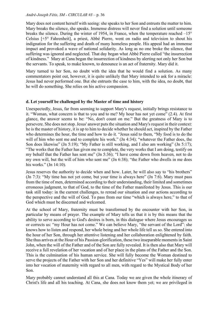Mary does not content herself with seeing: she speaks to her Son and entrusts the matter to him. Mary breaks the silence, she speaks. Immense distress will never find a solution until someone breaks the silence. During the winter of 1954, in France, when the temperature reached  $-15^{\circ}$ Celsius [+5° Fahrenheit], a priest, Abbé Pierre, went on radio and television to shout his indignation for the suffering and death of many homeless people. His appeal had an immense impact and provoked a wave of national solidarity. As long as no one broke the silence, that suffering was ignored and neglected. That day began what Abbé Pierre called "the insurrection of kindness." Mary at Cana began the insurrection of kindness by alerting not only her Son but the servants. To speak, to make known, to denounce is an act of fraternity. Mary did it.

Mary turned to her Son, no doubt with the idea that he would find a solution. As many commentators point out, however, it is quite unlikely that Mary intended to ask for a miracle: Jesus had never performed one. But she entrusts the case to him, with the idea, no doubt, that he will do something. She relies on his active compassion.

## <span id="page-35-0"></span>**d. Let yourself be challenged by the Master of time and history**

Unexpectedly, Jesus, far from seeming to support Mary's request, initially brings resistance to it. "Woman, what concern is that to you and to me? My hour has not yet come" (2.4). At first glance, the answer seems to be: "No, don't count on me." But the greatness of Mary is to persevere. She does not stop. Jesus' answer puts the situation and Mary's request in their context: he is the master of history, it is up to him to decide whether he should act, inspired by the Father who determines the hour, the time and how to do it. "Jesus said to them, "My food is to do the will of him who sent me and to complete his work." (Jn 4:34); "whatever the Father does, the Son does likewise" (Jn 5:19); "My Father is still working, and I also am working" (Jn 5:17); "The works that the Father has given me to complete, the very works that I am doing, testify on my behalf that the Father has sent me" (Jn 5:36); "I have come down from heaven, not to do my own will, but the will of him who sent me" (Jn 6:38); "the Father who dwells in me does his works." (Jn 14:10).

Jesus reserves the authority to decide when and how. Later, he will also say to "his brothers" (Jn 7:3): "My time has not yet come, but your time is always here" (Jn 7:6). Mary must pass from the time of men, determined according to their understanding, their limited and sometimes erroneous judgment, to that of God, to the time of the Father manifested by Jesus. This is our task still today: in the current challenges, to reread our situation and our actions according to the perspective and the will of God. To pass from our time "which is always here," to that of God which must be discerned and welcomed.

At the school of Mary, fraternity must be transformed by the encounter with her Son, in particular by means of prayer. The example of Mary tells us that it is by this means that the ability to serve according to God's desires is born, in this dialogue where Jesus encourages us or corrects us: "my Hour has not come." We can believe Mary, "the servant of the Lord": she knows how to listen and respond, her whole being and her whole life tell us so. She entered into the hour of her Son, through her attentive listening and her collaboration enlightened by faith. She thus arrives at the Hour of his Passion-glorification, these two inseparable moments in Saint John, when the will of the Father and of the Son are fully revealed. It is then also that Mary will receive a full revelation of her vocation and of her place in the plans of the Father and the Son. This is the culmination of his human service. She will fully become the Woman destined to serve the projects of the Father with her Son and her definitive "Yes" will make her fully enter into her vocation of maternity with regard to all men, with regard to the Mystical Body of her Son.

Mary probably cannot understand all this at Cana. Today we are given the whole itinerary of Christ's life and all his teaching. At Cana, she does not know them yet; we are privileged in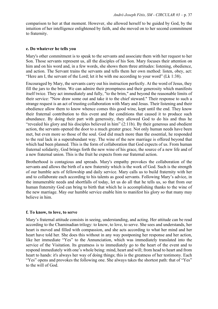comparison to her at that moment. However, she allowed herself to be guided by God, by the intuition of her intelligence enlightened by faith, and she moved on to her second commitment to fraternity.

#### <span id="page-36-0"></span>**e. Do whatever he tells you**

Mary's other commitment is to speak to the servants and associate them with her request to her Son. Those servants represent us, all the disciples of his Son. Mary focuses their attention on him and on his word and, in a few words, she shows them three attitudes: listening, obedience, and action. The Servant trains the servants and tells them her own method: listen, obey, act: "Here am I, the servant of the Lord; let it be with me according to your word" (Lk 1:38).

Encouraged by Mary, the servants carry out his instruction perfectly. At the word of Jesus, they fill the jars to the brim. We can admire their promptness and their generosity which manifests itself twice. They act immediately and fully, "to the brim," and beyond the reasonable limits of their service: "Now draw some out and take it to the chief steward." Their response to such a strange request is an act of trusting collaboration with Mary and Jesus. Their listening and their obedience allow them to know whence comes this good wine, kept until the end. They know their fraternal contribution to this event and the conditions that caused it to produce such abundance. By doing their part with generosity, they allowed God to do his and thus he "revealed his glory and his disciples believed in him" (2:11b). By their generous and obedient action, the servants opened the door to a much greater grace. Not only human needs have been met, but even more so those of the soul. God did much more than the essential, he responded to the real lack in a superabundant way. The wine of the new marriage is offered beyond that which had been planned. This is the form of collaboration that God expects of us. From human fraternal solidarity, God brings forth the new wine of his grace, the source of a new life and of a new fraternal union. This is the fruit he expects from our fraternal action.

Brotherhood is contagious and spreads. Mary's empathy provokes the collaboration of the servants and allows the birth of a new fraternity which is the work of God. Such is the strength of our humble acts of fellowship and daily service. Mary calls us to build fraternity with her and to collaborate each according to his talents as good servants. Following Mary's advice, in the innumerable needs and shortfalls of today, let us do all that he tells us, so that from our human fraternity God can bring to birth that which he is accomplishing thanks to the wine of the new marriage. May our humble service enable him to manifest his glory so that many may believe in him.

#### <span id="page-36-1"></span>**f. To know, to love, to serve**

Mary's fraternal attitude consists in seeing, understanding, and acting. Her attitude can be read according to the Chaminadian trilogy: to know, to love, to serve. She sees and understands, her heart is moved and filled with compassion, and she acts according to what her mind and her heart have told her. She does this without in any way postponing her response and her action, like her immediate "Yes" to the Annunciation, which was immediately translated into the service of the Visitation. Its greatness is to immediately go to the heart of the event and to respond immediately with one's whole being: mind, heart and will; from head to heart and from heart to hands: it's always her way of doing things; this is the greatness of her testimony. Each "Yes" opens and provokes the following one. She always takes the shortest path: that of "Yes" to the will of God.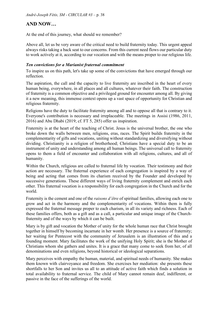# <span id="page-37-0"></span>**AND NOW…**

At the end of this journey, what should we remember?

Above all, let us be very aware of the critical need to build fraternity today. This urgent appeal always risks taking a back seat to our concerns. From this current need flows our particular duty to work actively at it, according to our vocation and with the means proper to our religious life.

## *Ten convictions for a Marianist fraternal commitment*

To inspire us on this path, let's take up some of the convictions that have emerged through our reflection.

The aspiration, the call and the capacity to live fraternity are inscribed in the heart of every human being, everywhere, in all places and all cultures, whatever their faith. The construction of fraternity is a common objective and a privileged ground for encounter among all. By giving it a new meaning, this immense context opens up a vast space of opportunity for Christian and religious fraternity.

Religions have the duty to facilitate fraternity among all and to oppose all that is contrary to it. Everyone's contribution is necessary and irreplaceable. The meetings in Assisi (1986, 2011, 2016) and Abu Dhabi (2019; cf. FT 5, 285) offer us inspiration.

Fraternity is at the heart of the teaching of Christ. Jesus is the universal brother, the one who broke down the walls between men, religions, eras, races. The Spirit builds fraternity in the complementarity of gifts and vocations, uniting without standardizing and diversifying without dividing. Christianity is a religion of brotherhood; Christians have a special duty to be an instrument of unity and understanding among all human beings. The universal call to fraternity opens to them a field of encounter and collaboration with all religions, cultures, and all of humanity.

Within the Church, religious are called to fraternal life by vocation. Their testimony and their action are necessary. The fraternal experience of each congregation is inspired by a way of being and acting that comes from its charism received by the Founder and developed by successive generations. These different ways of living fraternity complement and enrich each other. This fraternal vocation is a responsibility for each congregation in the Church and for the world.

Fraternity is the cement and one of the *raisons d'être* of spiritual families, allowing each one to grow and act in the harmony and the complementarity of vocations. Within them is fully expressed the fraternal message proper to each charism, in all its variety and richness. Each of these families offers, both as a gift and as a call, a particular and unique image of the Churchfraternity and of the ways by which it can be built.

Mary is by gift and vocation the Mother of unity for the whole human race that Christ brought together in himself by becoming incarnate in her womb. Her presence is a source of fraternity; her waiting for Pentecost with the community of Jerusalem is an illustration of this and a founding moment. Mary facilitates the work of the unifying Holy Spirit; she is the Mother of Christians whom she gathers and unites. It is a grace that many come to seek from her, of all denominations and even religions, beyond historical or ideological separations.

Mary perceives with empathy the human, material, and spiritual needs of humanity. She makes them known with clairvoyance and freedom. She exercises her mediation: she presents these shortfalls to her Son and invites us all to an attitude of active faith which finds a solution in total availability to fraternal service. The child of Mary cannot remain deaf, indifferent, or passive in the face of the sufferings of the world.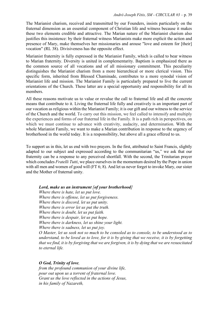The Marianist charism, received and transmitted by our Founders, insists particularly on the fraternal dimension as an essential component of Christian life and witness because it makes these two elements credible and attractive. The Marian nature of the Marianist charism also justifies this insistence: by their fraternal witness Marianists make more explicit the action and presence of Mary, make themselves her missionaries and arouse "love and esteem for [their] vocation" (RL 38). Divisiveness has the opposite effect.

Marianist fraternity is fully expressed in the Marianist Family, which is called to bear witness to Marian fraternity. Diversity is united in complementarity. Baptism is emphasized there as the common source of all vocations and of all missionary commitment. This peculiarity distinguishes the Marianist charism from a more hierarchical or more clerical vision. This specific form, inherited from Blessed Chaminade, contributes to a more synodal vision of Marianist life and mission. The Marianist Family is particularly prepared to live the current orientations of the Church. These latter are a special opportunity and responsibility for all its members.

All these reasons motivate us to value or revalue the call to fraternal life and all the concrete means that contribute to it. Living the fraternal life fully and creatively is an important part of our vocation as religious within the Marianist Family; it is our gift and our witness to the service of the Church and the world. To carry out this mission, we feel called to intensify and multiply the experiences and forms of our fraternal life in the Family. It is a path rich in perspectives, on which we must continue to advance with creativity, audacity, and determination. With the whole Marianist Family, we want to make a Marian contribution in response to the urgency of brotherhood in the world today. It is a responsibility, but above all a grace offered to us.

To support us in this, let us end with two prayers. In the first, attributed to Saint Francis, slightly adapted to our subject and expressed according to the communitarian "us," we ask that our fraternity can be a response to any perceived shortfall. With the second, the Trinitarian prayer which concludes *Fratelli Tutti*, we place ourselves in the momentum desired by the Pope in union with all men and women of good will (FT 6; 8). And let us never forget to invoke Mary, our sister and the Mother of fraternal unity.

*Lord, make us an instrument [of your brotherhood]* 

*Where there is hate, let us put love. Where there is offense, let us put forgiveness. Where there is discord, let us put unity. Where there is error let us put the truth. Where there is doubt, let us put faith. Where there is despair, let us put hope. Where there is darkness, let us shine your light. Where there is sadness, let us put joy. O Master, let us seek not so much to be consoled as to console, to be understood as to* 

*understand, to be loved as to love, for it is by giving that we receive, it is by forgetting that we find, it is by forgiving that we are forgiven, it is by dying that we are resuscitated to eternal life.*

#### *O God, Trinity of love,*

*from the profound communion of your divine life, pour out upon us a torrent of fraternal love. Grant us the love reflected in the actions of Jesus, in his family of Nazareth,*